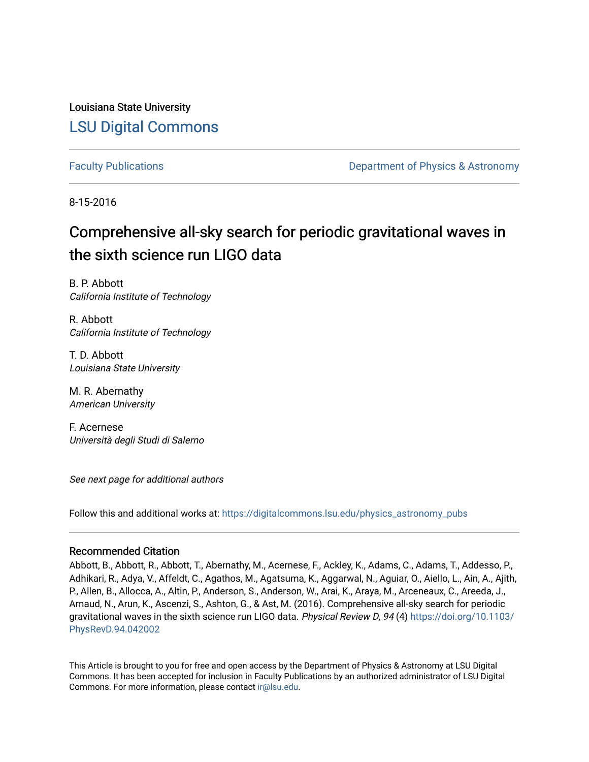Louisiana State University [LSU Digital Commons](https://digitalcommons.lsu.edu/)

[Faculty Publications](https://digitalcommons.lsu.edu/physics_astronomy_pubs) **Example 2** Constant Department of Physics & Astronomy

8-15-2016

# Comprehensive all-sky search for periodic gravitational waves in the sixth science run LIGO data

B. P. Abbott California Institute of Technology

R. Abbott California Institute of Technology

T. D. Abbott Louisiana State University

M. R. Abernathy American University

F. Acernese Università degli Studi di Salerno

See next page for additional authors

Follow this and additional works at: [https://digitalcommons.lsu.edu/physics\\_astronomy\\_pubs](https://digitalcommons.lsu.edu/physics_astronomy_pubs?utm_source=digitalcommons.lsu.edu%2Fphysics_astronomy_pubs%2F1085&utm_medium=PDF&utm_campaign=PDFCoverPages) 

## Recommended Citation

Abbott, B., Abbott, R., Abbott, T., Abernathy, M., Acernese, F., Ackley, K., Adams, C., Adams, T., Addesso, P., Adhikari, R., Adya, V., Affeldt, C., Agathos, M., Agatsuma, K., Aggarwal, N., Aguiar, O., Aiello, L., Ain, A., Ajith, P., Allen, B., Allocca, A., Altin, P., Anderson, S., Anderson, W., Arai, K., Araya, M., Arceneaux, C., Areeda, J., Arnaud, N., Arun, K., Ascenzi, S., Ashton, G., & Ast, M. (2016). Comprehensive all-sky search for periodic gravitational waves in the sixth science run LIGO data. Physical Review D, 94 (4) [https://doi.org/10.1103/](https://doi.org/10.1103/PhysRevD.94.042002) [PhysRevD.94.042002](https://doi.org/10.1103/PhysRevD.94.042002)

This Article is brought to you for free and open access by the Department of Physics & Astronomy at LSU Digital Commons. It has been accepted for inclusion in Faculty Publications by an authorized administrator of LSU Digital Commons. For more information, please contact [ir@lsu.edu](mailto:ir@lsu.edu).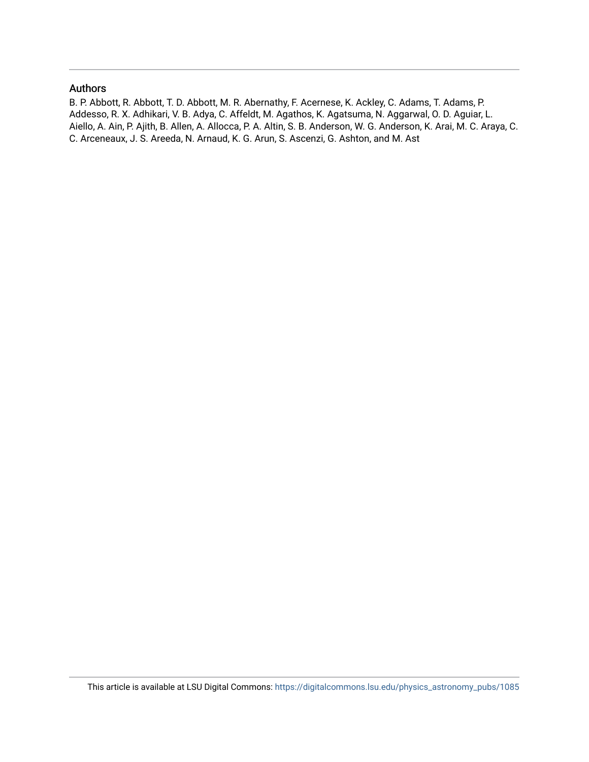## Authors

B. P. Abbott, R. Abbott, T. D. Abbott, M. R. Abernathy, F. Acernese, K. Ackley, C. Adams, T. Adams, P. Addesso, R. X. Adhikari, V. B. Adya, C. Affeldt, M. Agathos, K. Agatsuma, N. Aggarwal, O. D. Aguiar, L. Aiello, A. Ain, P. Ajith, B. Allen, A. Allocca, P. A. Altin, S. B. Anderson, W. G. Anderson, K. Arai, M. C. Araya, C. C. Arceneaux, J. S. Areeda, N. Arnaud, K. G. Arun, S. Ascenzi, G. Ashton, and M. Ast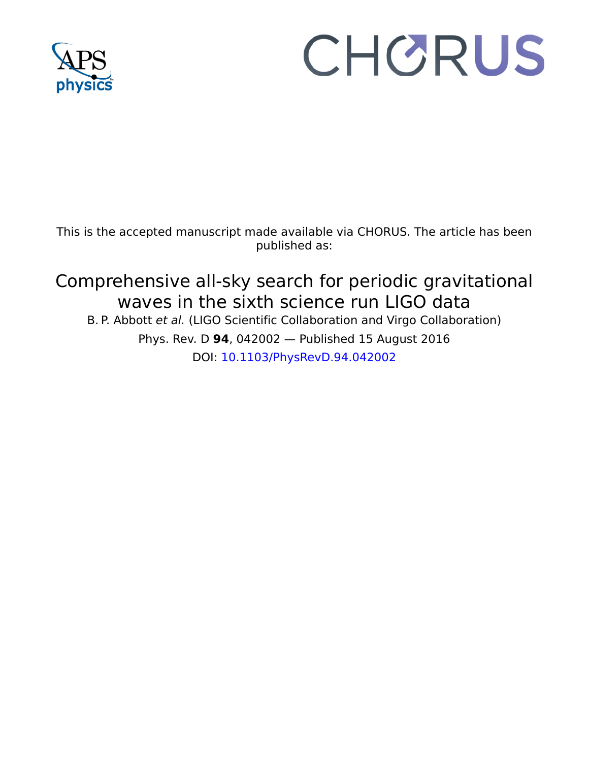

# CHORUS

This is the accepted manuscript made available via CHORUS. The article has been published as:

Comprehensive all-sky search for periodic gravitational waves in the sixth science run LIGO data B. P. Abbott et al. (LIGO Scientific Collaboration and Virgo Collaboration) Phys. Rev. D **94**, 042002 — Published 15 August 2016 DOI: [10.1103/PhysRevD.94.042002](http://dx.doi.org/10.1103/PhysRevD.94.042002)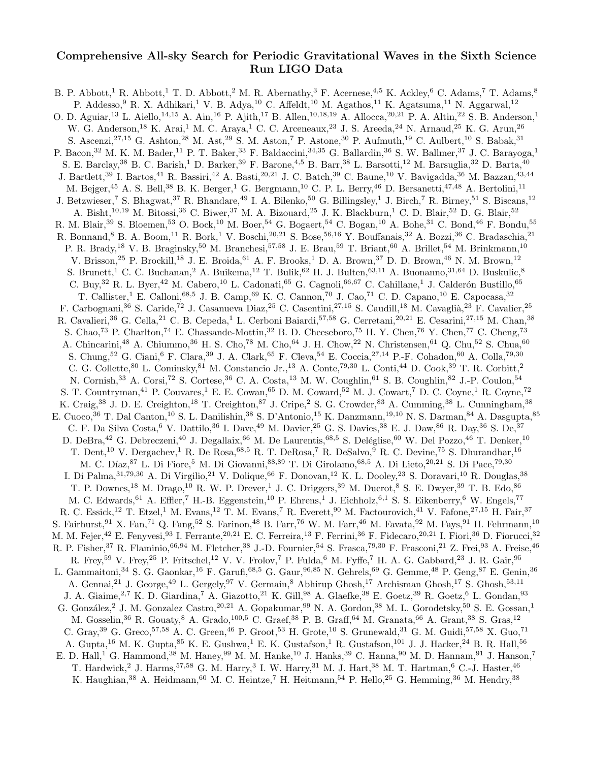# Comprehensive All-sky Search for Periodic Gravitational Waves in the Sixth Science Run LIGO Data

B. P. Abbott,<sup>1</sup> R. Abbott,<sup>1</sup> T. D. Abbott,<sup>2</sup> M. R. Abernathy,<sup>3</sup> F. Acernese,<sup>4,5</sup> K. Ackley,<sup>6</sup> C. Adams,<sup>7</sup> T. Adams,<sup>8</sup> P. Addesso, <sup>9</sup> R. X. Adhikari,<sup>1</sup> V. B. Adya,<sup>10</sup> C. Affeldt,<sup>10</sup> M. Agathos,<sup>11</sup> K. Agatsuma,<sup>11</sup> N. Aggarwal,<sup>12</sup> O. D. Aguiar,<sup>13</sup> L. Aiello,<sup>14,15</sup> A. Ain,<sup>16</sup> P. Ajith,<sup>17</sup> B. Allen,<sup>10,18,19</sup> A. Allocca,<sup>20,21</sup> P. A. Altin,<sup>22</sup> S. B. Anderson,<sup>1</sup> W. G. Anderson,<sup>18</sup> K. Arai,<sup>1</sup> M. C. Araya,<sup>1</sup> C. C. Arceneaux,<sup>23</sup> J. S. Areeda,<sup>24</sup> N. Arnaud,<sup>25</sup> K. G. Arun,<sup>26</sup> S. Ascenzi,<sup>27,15</sup> G. Ashton,<sup>28</sup> M. Ast,<sup>29</sup> S. M. Aston,<sup>7</sup> P. Astone,<sup>30</sup> P. Aufmuth,<sup>19</sup> C. Aulbert,<sup>10</sup> S. Babak,<sup>31</sup> P. Bacon,<sup>32</sup> M. K. M. Bader,<sup>11</sup> P. T. Baker,<sup>33</sup> F. Baldaccini,<sup>34,35</sup> G. Ballardin,<sup>36</sup> S. W. Ballmer,<sup>37</sup> J. C. Barayoga,<sup>1</sup> S. E. Barclay,<sup>38</sup> B. C. Barish,<sup>1</sup> D. Barker,<sup>39</sup> F. Barone,<sup>4,5</sup> B. Barr,<sup>38</sup> L. Barsotti,<sup>12</sup> M. Barsuglia,<sup>32</sup> D. Barta,<sup>40</sup> J. Bartlett,<sup>39</sup> I. Bartos,<sup>41</sup> R. Bassiri,<sup>42</sup> A. Basti,<sup>20,21</sup> J. C. Batch,<sup>39</sup> C. Baune,<sup>10</sup> V. Bavigadda,<sup>36</sup> M. Bazzan,<sup>43,44</sup> M. Bejger,<sup>45</sup> A. S. Bell,<sup>38</sup> B. K. Berger,<sup>1</sup> G. Bergmann,<sup>10</sup> C. P. L. Berry,<sup>46</sup> D. Bersanetti,<sup>47,48</sup> A. Bertolini,<sup>11</sup> J. Betzwieser,<sup>7</sup> S. Bhagwat,<sup>37</sup> R. Bhandare,<sup>49</sup> I. A. Bilenko,<sup>50</sup> G. Billingsley,<sup>1</sup> J. Birch,<sup>7</sup> R. Birney,<sup>51</sup> S. Biscans,<sup>12</sup> A. Bisht,<sup>10,19</sup> M. Bitossi,<sup>36</sup> C. Biwer,<sup>37</sup> M. A. Bizouard,<sup>25</sup> J. K. Blackburn,<sup>1</sup> C. D. Blair,<sup>52</sup> D. G. Blair,<sup>52</sup> R. M. Blair,<sup>39</sup> S. Bloemen,<sup>53</sup> O. Bock,<sup>10</sup> M. Boer,<sup>54</sup> G. Bogaert,<sup>54</sup> C. Bogan,<sup>10</sup> A. Bohe,<sup>31</sup> C. Bond,<sup>46</sup> F. Bondu,<sup>55</sup> R. Bonnand,<sup>8</sup> B. A. Boom,<sup>11</sup> R. Bork,<sup>1</sup> V. Boschi,<sup>20,21</sup> S. Bose,<sup>56,16</sup> Y. Bouffanais,<sup>32</sup> A. Bozzi,<sup>36</sup> C. Bradaschia,<sup>21</sup> P. R. Brady,<sup>18</sup> V. B. Braginsky,<sup>50</sup> M. Branchesi,<sup>57,58</sup> J. E. Brau,<sup>59</sup> T. Briant,<sup>60</sup> A. Brillet,<sup>54</sup> M. Brinkmann,<sup>10</sup> V. Brisson,<sup>25</sup> P. Brockill,<sup>18</sup> J. E. Broida,<sup>61</sup> A. F. Brooks,<sup>1</sup> D. A. Brown,<sup>37</sup> D. D. Brown,<sup>46</sup> N. M. Brown,<sup>12</sup> S. Brunett,<sup>1</sup> C. C. Buchanan,<sup>2</sup> A. Buikema,<sup>12</sup> T. Bulik,<sup>62</sup> H. J. Bulten,<sup>63,11</sup> A. Buonanno,<sup>31,64</sup> D. Buskulic,<sup>8</sup> C. Buy,<sup>32</sup> R. L. Byer,<sup>42</sup> M. Cabero,<sup>10</sup> L. Cadonati,<sup>65</sup> G. Cagnoli,<sup>66,67</sup> C. Cahillane,<sup>1</sup> J. Calderón Bustillo,<sup>65</sup> T. Callister,<sup>1</sup> E. Calloni,<sup>68,5</sup> J. B. Camp,<sup>69</sup> K. C. Cannon,<sup>70</sup> J. Cao,<sup>71</sup> C. D. Capano,<sup>10</sup> E. Capocasa,<sup>32</sup> F. Carbognani,<sup>36</sup> S. Caride,<sup>72</sup> J. Casanueva Diaz,<sup>25</sup> C. Casentini,<sup>27,15</sup> S. Caudill,<sup>18</sup> M. Cavaglià,<sup>23</sup> F. Cavalier,<sup>25</sup> R. Cavalieri,<sup>36</sup> G. Cella,<sup>21</sup> C. B. Cepeda,<sup>1</sup> L. Cerboni Baiardi,<sup>57,58</sup> G. Cerretani,<sup>20,21</sup> E. Cesarini,<sup>27,15</sup> M. Chan,<sup>38</sup> S. Chao,<sup>73</sup> P. Charlton,<sup>74</sup> E. Chassande-Mottin,<sup>32</sup> B. D. Cheeseboro,<sup>75</sup> H. Y. Chen,<sup>76</sup> Y. Chen,<sup>77</sup> C. Cheng,<sup>73</sup> A. Chincarini,<sup>48</sup> A. Chiummo,<sup>36</sup> H. S. Cho,<sup>78</sup> M. Cho,<sup>64</sup> J. H. Chow,<sup>22</sup> N. Christensen,<sup>61</sup> Q. Chu,<sup>52</sup> S. Chua,<sup>60</sup> S. Chung,<sup>52</sup> G. Ciani,<sup>6</sup> F. Clara,<sup>39</sup> J. A. Clark,<sup>65</sup> F. Cleva,<sup>54</sup> E. Coccia,<sup>27,14</sup> P.-F. Cohadon,<sup>60</sup> A. Colla,<sup>79,30</sup> C. G. Collette,<sup>80</sup> L. Cominsky,<sup>81</sup> M. Constancio Jr.,<sup>13</sup> A. Conte,79,<sup>30</sup> L. Conti,<sup>44</sup> D. Cook,<sup>39</sup> T. R. Corbitt,<sup>2</sup> N. Cornish,<sup>33</sup> A. Corsi,<sup>72</sup> S. Cortese,<sup>36</sup> C. A. Costa,<sup>13</sup> M. W. Coughlin,<sup>61</sup> S. B. Coughlin,<sup>82</sup> J.-P. Coulon,<sup>54</sup> S. T. Countryman,<sup>41</sup> P. Couvares,<sup>1</sup> E. E. Cowan,<sup>65</sup> D. M. Coward,<sup>52</sup> M. J. Cowart,<sup>7</sup> D. C. Coyne,<sup>1</sup> R. Coyne,<sup>72</sup> K. Craig,<sup>38</sup> J. D. E. Creighton,<sup>18</sup> T. Creighton,<sup>87</sup> J. Cripe,<sup>2</sup> S. G. Crowder,<sup>83</sup> A. Cumming,<sup>38</sup> L. Cunningham,<sup>38</sup> E. Cuoco,<sup>36</sup> T. Dal Canton,<sup>10</sup> S. L. Danilishin,<sup>38</sup> S. D'Antonio,<sup>15</sup> K. Danzmann,<sup>19,10</sup> N. S. Darman,<sup>84</sup> A. Dasgupta,<sup>85</sup> C. F. Da Silva Costa,<sup>6</sup> V. Dattilo,<sup>36</sup> I. Dave,<sup>49</sup> M. Davier,<sup>25</sup> G. S. Davies,<sup>38</sup> E. J. Daw,<sup>86</sup> R. Day,<sup>36</sup> S. De,<sup>37</sup> D. DeBra,<sup>42</sup> G. Debreczeni,<sup>40</sup> J. Degallaix,<sup>66</sup> M. De Laurentis,<sup>68,5</sup> S. Deléglise,<sup>60</sup> W. Del Pozzo,<sup>46</sup> T. Denker,<sup>10</sup> T. Dent,<sup>10</sup> V. Dergachev,<sup>1</sup> R. De Rosa,<sup>68,5</sup> R. T. DeRosa,<sup>7</sup> R. DeSalvo,<sup>9</sup> R. C. Devine,<sup>75</sup> S. Dhurandhar,<sup>16</sup> M. C. Díaz, <sup>87</sup> L. Di Fiore,<sup>5</sup> M. Di Giovanni, 88,89 T. Di Girolamo, <sup>68,5</sup> A. Di Lieto, <sup>20,21</sup> S. Di Pace, <sup>79,30</sup> I. Di Palma,<sup>31,79,30</sup> A. Di Virgilio,<sup>21</sup> V. Dolique,<sup>66</sup> F. Donovan,<sup>12</sup> K. L. Dooley,<sup>23</sup> S. Doravari,<sup>10</sup> R. Douglas,<sup>38</sup> T. P. Downes,<sup>18</sup> M. Drago,<sup>10</sup> R. W. P. Drever,<sup>1</sup> J. C. Driggers,<sup>39</sup> M. Ducrot,<sup>8</sup> S. E. Dwyer,<sup>39</sup> T. B. Edo,<sup>86</sup> M. C. Edwards, <sup>61</sup> A. Effler, <sup>7</sup> H.-B. Eggenstein, <sup>10</sup> P. Ehrens, <sup>1</sup> J. Eichholz, <sup>6,1</sup> S. S. Eikenberry, <sup>6</sup> W. Engels, <sup>77</sup> R. C. Essick,<sup>12</sup> T. Etzel,<sup>1</sup> M. Evans,<sup>12</sup> T. M. Evans,<sup>7</sup> R. Everett,<sup>90</sup> M. Factourovich,<sup>41</sup> V. Fafone,<sup>27,15</sup> H. Fair,<sup>37</sup> S. Fairhurst,<sup>91</sup> X. Fan,<sup>71</sup> Q. Fang,<sup>52</sup> S. Farinon,<sup>48</sup> B. Farr,<sup>76</sup> W. M. Farr,<sup>46</sup> M. Favata,<sup>92</sup> M. Fays,<sup>91</sup> H. Fehrmann,<sup>10</sup> M. M. Fejer, <sup>42</sup> E. Fenyvesi, <sup>93</sup> I. Ferrante, <sup>20,21</sup> E. C. Ferreira, <sup>13</sup> F. Ferrini, <sup>36</sup> F. Fidecaro, <sup>20,21</sup> I. Fiori, <sup>36</sup> D. Fiorucci, <sup>32</sup> R. P. Fisher,<sup>37</sup> R. Flaminio,<sup>66,94</sup> M. Fletcher,<sup>38</sup> J.-D. Fournier,<sup>54</sup> S. Frasca,<sup>79,30</sup> F. Frasconi,<sup>21</sup> Z. Frei,<sup>93</sup> A. Freise,<sup>46</sup> R. Frey,<sup>59</sup> V. Frey,<sup>25</sup> P. Fritschel,<sup>12</sup> V. V. Frolov,<sup>7</sup> P. Fulda,<sup>6</sup> M. Fyffe,<sup>7</sup> H. A. G. Gabbard,<sup>23</sup> J. R. Gair,<sup>95</sup> L. Gammaitoni,<sup>34</sup> S. G. Gaonkar,<sup>16</sup> F. Garufi,<sup>68,5</sup> G. Gaur,<sup>96,85</sup> N. Gehrels,<sup>69</sup> G. Gemme,<sup>48</sup> P. Geng,<sup>87</sup> E. Genin,<sup>36</sup> A. Gennai,<sup>21</sup> J. George,<sup>49</sup> L. Gergely,<sup>97</sup> V. Germain,<sup>8</sup> Abhirup Ghosh,<sup>17</sup> Archisman Ghosh,<sup>17</sup> S. Ghosh,<sup>53,11</sup> J. A. Giaime,<sup>2,7</sup> K. D. Giardina,<sup>7</sup> A. Giazotto,<sup>21</sup> K. Gill,<sup>98</sup> A. Glaefke,<sup>38</sup> E. Goetz,<sup>39</sup> R. Goetz,<sup>6</sup> L. Gondan,<sup>93</sup> G. González,<sup>2</sup> J. M. Gonzalez Castro,<sup>20,21</sup> A. Gopakumar,<sup>99</sup> N. A. Gordon,<sup>38</sup> M. L. Gorodetsky,<sup>50</sup> S. E. Gossan,<sup>1</sup> M. Gosselin,  $36$  R. Gouaty,  $8$  A. Grado,  $100,5$  C. Graef,  $38$  P. B. Graff,  $64$  M. Granata,  $66$  A. Grant,  $38$  S. Gras,  $12$ C. Gray,  $39$  G. Greco,  $57,58$  A. C. Green,  $46$  P. Groot,  $53$  H. Grote,  $10$  S. Grunewald,  $31$  G. M. Guidi,  $57,58$  X. Guo,  $71$ A. Gupta,<sup>16</sup> M. K. Gupta,<sup>85</sup> K. E. Gushwa,<sup>1</sup> E. K. Gustafson,<sup>1</sup> R. Gustafson,<sup>101</sup> J. J. Hacker,<sup>24</sup> B. R. Hall,<sup>56</sup> E. D. Hall,<sup>1</sup> G. Hammond,<sup>38</sup> M. Haney,<sup>99</sup> M. M. Hanke,<sup>10</sup> J. Hanks,<sup>39</sup> C. Hanna,<sup>90</sup> M. D. Hannam,<sup>91</sup> J. Hanson,<sup>7</sup> T. Hardwick,<sup>2</sup> J. Harms,<sup>57,58</sup> G. M. Harry,<sup>3</sup> I. W. Harry,<sup>31</sup> M. J. Hart,<sup>38</sup> M. T. Hartman,<sup>6</sup> C.-J. Haster,<sup>46</sup> K. Haughian,<sup>38</sup> A. Heidmann,<sup>60</sup> M. C. Heintze,<sup>7</sup> H. Heitmann,<sup>54</sup> P. Hello,<sup>25</sup> G. Hemming,<sup>36</sup> M. Hendry,<sup>38</sup>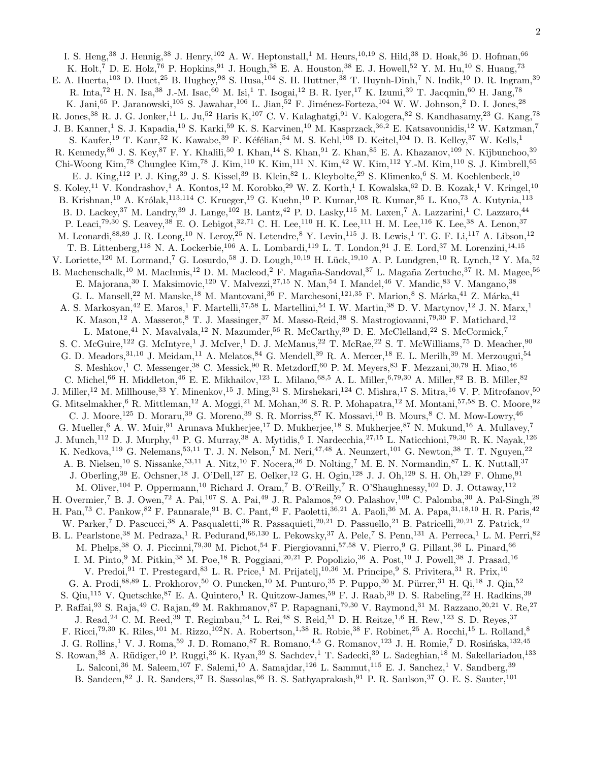I. S. Heng,<sup>38</sup> J. Hennig,<sup>38</sup> J. Henry,<sup>102</sup> A. W. Heptonstall,<sup>1</sup> M. Heurs,<sup>10,19</sup> S. Hild,<sup>38</sup> D. Hoak,<sup>36</sup> D. Hofman,<sup>66</sup> K. Holt,<sup>7</sup> D. E. Holz,<sup>76</sup> P. Hopkins,<sup>91</sup> J. Hough,<sup>38</sup> E. A. Houston,<sup>38</sup> E. J. Howell,<sup>52</sup> Y. M. Hu,<sup>10</sup> S. Huang,<sup>73</sup> E. A. Huerta,<sup>103</sup> D. Huet,<sup>25</sup> B. Hughey,<sup>98</sup> S. Husa,<sup>104</sup> S. H. Huttner,<sup>38</sup> T. Huynh-Dinh,<sup>7</sup> N. Indik,<sup>10</sup> D. R. Ingram,<sup>39</sup> R. Inta,<sup>72</sup> H. N. Isa,<sup>38</sup> J.-M. Isac,<sup>60</sup> M. Isi,<sup>1</sup> T. Isogai,<sup>12</sup> B. R. Iyer,<sup>17</sup> K. Izumi,<sup>39</sup> T. Jacqmin,<sup>60</sup> H. Jang,<sup>78</sup> K. Jani,<sup>65</sup> P. Jaranowski,<sup>105</sup> S. Jawahar,<sup>106</sup> L. Jian,<sup>52</sup> F. Jiménez-Forteza,<sup>104</sup> W. W. Johnson,<sup>2</sup> D. I. Jones,<sup>28</sup> R. Jones,<sup>38</sup> R. J. G. Jonker,<sup>11</sup> L. Ju,<sup>52</sup> Haris K,<sup>107</sup> C. V. Kalaghatgi,<sup>91</sup> V. Kalogera,<sup>82</sup> S. Kandhasamy,<sup>23</sup> G. Kang,<sup>78</sup> J. B. Kanner,<sup>1</sup> S. J. Kapadia,<sup>10</sup> S. Karki,<sup>59</sup> K. S. Karvinen,<sup>10</sup> M. Kasprzack,<sup>36,2</sup> E. Katsavounidis,<sup>12</sup> W. Katzman,<sup>7</sup> S. Kaufer,<sup>19</sup> T. Kaur,<sup>52</sup> K. Kawabe,<sup>39</sup> F. Kéfélian,<sup>54</sup> M. S. Kehl,<sup>108</sup> D. Keitel,<sup>104</sup> D. B. Kelley,<sup>37</sup> W. Kells,<sup>1</sup> R. Kennedy,<sup>86</sup> J. S. Key,<sup>87</sup> F. Y. Khalili,<sup>50</sup> I. Khan,<sup>14</sup> S. Khan,<sup>91</sup> Z. Khan,<sup>85</sup> E. A. Khazanov,<sup>109</sup> N. Kijbunchoo,<sup>39</sup> Chi-Woong Kim,<sup>78</sup> Chunglee Kim,<sup>78</sup> J. Kim,<sup>110</sup> K. Kim,<sup>111</sup> N. Kim,<sup>42</sup> W. Kim,<sup>112</sup> Y.-M. Kim,<sup>110</sup> S. J. Kimbrell,<sup>65</sup> E. J. King,<sup>112</sup> P. J. King,<sup>39</sup> J. S. Kissel,<sup>39</sup> B. Klein,<sup>82</sup> L. Kleybolte,<sup>29</sup> S. Klimenko,<sup>6</sup> S. M. Koehlenbeck,<sup>10</sup> S. Koley,<sup>11</sup> V. Kondrashov,<sup>1</sup> A. Kontos,<sup>12</sup> M. Korobko,<sup>29</sup> W. Z. Korth,<sup>1</sup> I. Kowalska,<sup>62</sup> D. B. Kozak,<sup>1</sup> V. Kringel,<sup>10</sup> B. Krishnan,<sup>10</sup> A. Królak,<sup>113,114</sup> C. Krueger,<sup>19</sup> G. Kuehn,<sup>10</sup> P. Kumar,<sup>108</sup> R. Kumar,<sup>85</sup> L. Kuo,<sup>73</sup> A. Kutynia,<sup>113</sup> B. D. Lackey, <sup>37</sup> M. Landry, <sup>39</sup> J. Lange, <sup>102</sup> B. Lantz, <sup>42</sup> P. D. Lasky, <sup>115</sup> M. Laxen, <sup>7</sup> A. Lazzarini, <sup>1</sup> C. Lazzaro, <sup>44</sup> P. Leaci,<sup>79,30</sup> S. Leavey,<sup>38</sup> E. O. Lebigot,<sup>32,71</sup> C. H. Lee,<sup>110</sup> H. K. Lee,<sup>111</sup> H. M. Lee,<sup>116</sup> K. Lee,<sup>38</sup> A. Lenon,<sup>37</sup> M. Leonardi,<sup>88,89</sup> J. R. Leong,<sup>10</sup> N. Leroy,<sup>25</sup> N. Letendre,<sup>8</sup> Y. Levin,<sup>115</sup> J. B. Lewis,<sup>1</sup> T. G. F. Li,<sup>117</sup> A. Libson,<sup>12</sup> T. B. Littenberg,<sup>118</sup> N. A. Lockerbie,<sup>106</sup> A. L. Lombardi,<sup>119</sup> L. T. London,<sup>91</sup> J. E. Lord,<sup>37</sup> M. Lorenzini,<sup>14,15</sup> V. Loriette,<sup>120</sup> M. Lormand,<sup>7</sup> G. Losurdo,<sup>58</sup> J. D. Lough,<sup>10,19</sup> H. Lück,<sup>19,10</sup> A. P. Lundgren,<sup>10</sup> R. Lynch,<sup>12</sup> Y. Ma,<sup>52</sup> B. Machenschalk,<sup>10</sup> M. MacInnis,<sup>12</sup> D. M. Macleod,<sup>2</sup> F. Magaña-Sandoval,<sup>37</sup> L. Magaña Zertuche,<sup>37</sup> R. M. Magee,<sup>56</sup> E. Majorana, <sup>30</sup> I. Maksimovic, <sup>120</sup> V. Malvezzi, <sup>27, 15</sup> N. Man, <sup>54</sup> I. Mandel, <sup>46</sup> V. Mandic, <sup>83</sup> V. Mangano, <sup>38</sup> G. L. Mansell,<sup>22</sup> M. Manske,<sup>18</sup> M. Mantovani,<sup>36</sup> F. Marchesoni,<sup>121,35</sup> F. Marion,<sup>8</sup> S. Márka,<sup>41</sup> Z. Márka,<sup>41</sup> A. S. Markosyan,<sup>42</sup> E. Maros,<sup>1</sup> F. Martelli,<sup>57,58</sup> L. Martellini,<sup>54</sup> I. W. Martin,<sup>38</sup> D. V. Martynov,<sup>12</sup> J. N. Marx,<sup>1</sup> K. Mason,<sup>12</sup> A. Masserot,<sup>8</sup> T. J. Massinger,<sup>37</sup> M. Masso-Reid,<sup>38</sup> S. Mastrogiovanni,<sup>79,30</sup> F. Matichard,<sup>12</sup> L. Matone,<sup>41</sup> N. Mavalvala,<sup>12</sup> N. Mazumder,<sup>56</sup> R. McCarthy,<sup>39</sup> D. E. McClelland,<sup>22</sup> S. McCormick,<sup>7</sup> S. C. McGuire,<sup>122</sup> G. McIntyre,<sup>1</sup> J. McIver,<sup>1</sup> D. J. McManus,<sup>22</sup> T. McRae,<sup>22</sup> S. T. McWilliams,<sup>75</sup> D. Meacher,<sup>90</sup> G. D. Meadors,  $31,10$  J. Meidam,  $11$  A. Melatos,  $84$  G. Mendell,  $39$  R. A. Mercer,  $18$  E. L. Merilh,  $39$  M. Merzougui,  $54$ S. Meshkov,<sup>1</sup> C. Messenger,<sup>38</sup> C. Messick,<sup>90</sup> R. Metzdorff,<sup>60</sup> P. M. Meyers,<sup>83</sup> F. Mezzani,<sup>30,79</sup> H. Miao,<sup>46</sup> C. Michel,<sup>66</sup> H. Middleton,<sup>46</sup> E. E. Mikhailov,<sup>123</sup> L. Milano,<sup>68,5</sup> A. L. Miller,<sup>6,79,30</sup> A. Miller,<sup>82</sup> B. B. Miller,<sup>82</sup> J. Miller,<sup>12</sup> M. Millhouse,<sup>33</sup> Y. Minenkov,<sup>15</sup> J. Ming,<sup>31</sup> S. Mirshekari,<sup>124</sup> C. Mishra,<sup>17</sup> S. Mitra,<sup>16</sup> V. P. Mitrofanov,<sup>50</sup> G. Mitselmakher,  $6$  R. Mittleman,  $12$  A. Moggi,  $21$  M. Mohan,  $36$  S. R. P. Mohapatra,  $12$  M. Montani,  $57,58$  B. C. Moore,  $92$ C. J. Moore,<sup>125</sup> D. Moraru,<sup>39</sup> G. Moreno,<sup>39</sup> S. R. Morriss,<sup>87</sup> K. Mossavi,<sup>10</sup> B. Mours,<sup>8</sup> C. M. Mow-Lowry,<sup>46</sup> G. Mueller,  $6$  A. W. Muir,  $91$  Arunava Mukherjee,  $17$  D. Mukherjee,  $18$  S. Mukherjee,  $87$  N. Mukund,  $16$  A. Mullavey,  $7$ J. Munch,<sup>112</sup> D. J. Murphy,<sup>41</sup> P. G. Murray,<sup>38</sup> A. Mytidis,<sup>6</sup> I. Nardecchia,<sup>27,15</sup> L. Naticchioni,<sup>79,30</sup> R. K. Nayak,<sup>126</sup> K. Nedkova,<sup>119</sup> G. Nelemans,<sup>53,11</sup> T. J. N. Nelson,<sup>7</sup> M. Neri,<sup>47,48</sup> A. Neunzert,<sup>101</sup> G. Newton,<sup>38</sup> T. T. Nguyen,<sup>22</sup> A. B. Nielsen,<sup>10</sup> S. Nissanke,<sup>53,11</sup> A. Nitz,<sup>10</sup> F. Nocera,<sup>36</sup> D. Nolting,<sup>7</sup> M. E. N. Normandin,<sup>87</sup> L. K. Nuttall,<sup>37</sup> J. Oberling,<sup>39</sup> E. Ochsner,<sup>18</sup> J. O'Dell,<sup>127</sup> E. Oelker,<sup>12</sup> G. H. Ogin,<sup>128</sup> J. J. Oh,<sup>129</sup> S. H. Oh,<sup>129</sup> F. Ohme,<sup>91</sup> M. Oliver,<sup>104</sup> P. Oppermann,<sup>10</sup> Richard J. Oram,<sup>7</sup> B. O'Reilly,<sup>7</sup> R. O'Shaughnessy,<sup>102</sup> D. J. Ottaway,<sup>112</sup> H. Overmier,<sup>7</sup> B. J. Owen,<sup>72</sup> A. Pai,<sup>107</sup> S. A. Pai,<sup>49</sup> J. R. Palamos,<sup>59</sup> O. Palashov,<sup>109</sup> C. Palomba,<sup>30</sup> A. Pal-Singh,<sup>29</sup> H. Pan,<sup>73</sup> C. Pankow, <sup>82</sup> F. Pannarale, <sup>91</sup> B. C. Pant, <sup>49</sup> F. Paoletti, <sup>36, 21</sup> A. Paoli, <sup>36</sup> M. A. Papa, <sup>31, 18, 10</sup> H. R. Paris, <sup>42</sup> W. Parker,<sup>7</sup> D. Pascucci,<sup>38</sup> A. Pasqualetti,<sup>36</sup> R. Passaquieti,<sup>20,21</sup> D. Passuello,<sup>21</sup> B. Patricelli,<sup>20,21</sup> Z. Patrick,<sup>42</sup> B. L. Pearlstone,<sup>38</sup> M. Pedraza,<sup>1</sup> R. Pedurand,<sup>66,130</sup> L. Pekowsky,<sup>37</sup> A. Pele,<sup>7</sup> S. Penn,<sup>131</sup> A. Perreca,<sup>1</sup> L. M. Perri,<sup>82</sup> M. Phelps,<sup>38</sup> O. J. Piccinni,<sup>79,30</sup> M. Pichot,<sup>54</sup> F. Piergiovanni,<sup>57,58</sup> V. Pierro,<sup>9</sup> G. Pillant,<sup>36</sup> L. Pinard,<sup>66</sup> I. M. Pinto, <sup>9</sup> M. Pitkin, <sup>38</sup> M. Poe, <sup>18</sup> R. Poggiani, <sup>20, 21</sup> P. Popolizio, <sup>36</sup> A. Post, <sup>10</sup> J. Powell, <sup>38</sup> J. Prasad, <sup>16</sup> V. Predoi, <sup>91</sup> T. Prestegard, <sup>83</sup> L. R. Price, <sup>1</sup> M. Prijatelj, <sup>10,36</sup> M. Principe, <sup>9</sup> S. Privitera, <sup>31</sup> R. Prix, <sup>10</sup> G. A. Prodi,  $88,89$  L. Prokhorov,  $50$  O. Puncken,  $10$  M. Punturo,  $35$  P. Puppo,  $30$  M. Pürrer,  $31$  H. Qi,  $18$  J. Qin,  $52$ S. Qiu,<sup>115</sup> V. Quetschke,<sup>87</sup> E. A. Quintero,<sup>1</sup> R. Quitzow-James,<sup>59</sup> F. J. Raab,<sup>39</sup> D. S. Rabeling,<sup>22</sup> H. Radkins,<sup>39</sup> P. Raffai,<sup>93</sup> S. Raja,<sup>49</sup> C. Rajan,<sup>49</sup> M. Rakhmanov,<sup>87</sup> P. Rapagnani,<sup>79,30</sup> V. Raymond,<sup>31</sup> M. Razzano,<sup>20,21</sup> V. Re,<sup>27</sup> J. Read,<sup>24</sup> C. M. Reed,<sup>39</sup> T. Regimbau,<sup>54</sup> L. Rei,<sup>48</sup> S. Reid,<sup>51</sup> D. H. Reitze,<sup>1,6</sup> H. Rew,<sup>123</sup> S. D. Reyes,<sup>37</sup> F. Ricci,<sup>79,30</sup> K. Riles,<sup>101</sup> M. Rizzo,<sup>102</sup>N. A. Robertson,<sup>1,38</sup> R. Robie,<sup>38</sup> F. Robinet,<sup>25</sup> A. Rocchi,<sup>15</sup> L. Rolland,<sup>8</sup> J. G. Rollins,<sup>1</sup> V. J. Roma,<sup>59</sup> J. D. Romano,<sup>87</sup> R. Romano,<sup>4,5</sup> G. Romanov,<sup>123</sup> J. H. Romie,<sup>7</sup> D. Rosińska,<sup>132,45</sup> S. Rowan,<sup>38</sup> A. Rüdiger,<sup>10</sup> P. Ruggi,<sup>36</sup> K. Ryan,<sup>39</sup> S. Sachdev,<sup>1</sup> T. Sadecki,<sup>39</sup> L. Sadeghian,<sup>18</sup> M. Sakellariadou,<sup>133</sup> L. Salconi,<sup>36</sup> M. Saleem,<sup>107</sup> F. Salemi,<sup>10</sup> A. Samajdar,<sup>126</sup> L. Sammut,<sup>115</sup> E. J. Sanchez,<sup>1</sup> V. Sandberg,<sup>39</sup> B. Sandeen, <sup>82</sup> J. R. Sanders, <sup>37</sup> B. Sassolas, <sup>66</sup> B. S. Sathyaprakash, <sup>91</sup> P. R. Saulson, <sup>37</sup> O. E. S. Sauter, <sup>101</sup>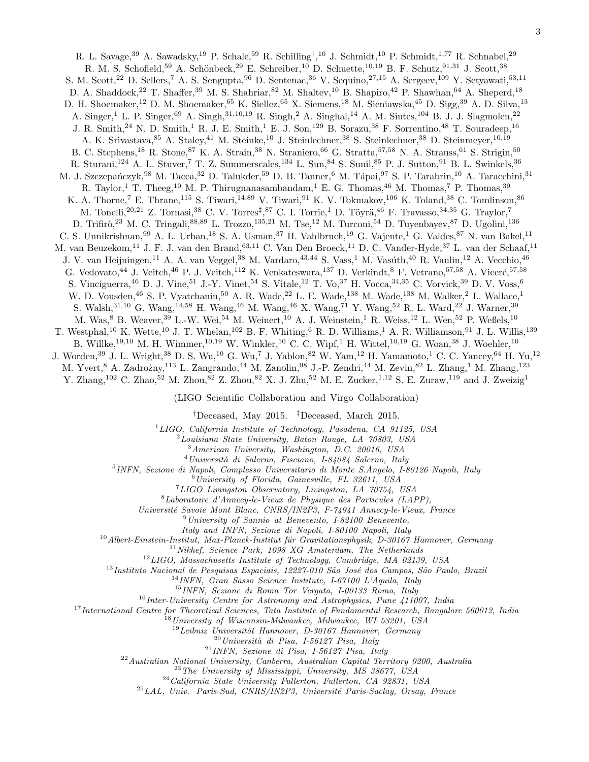R. L. Savage,<sup>39</sup> A. Sawadsky,<sup>19</sup> P. Schale,<sup>59</sup> R. Schilling<sup>†</sup>,<sup>10</sup> J. Schmidt,<sup>10</sup> P. Schmidt,<sup>1,77</sup> R. Schnabel,<sup>29</sup> R. M. S. Schofield,<sup>59</sup> A. Schönbeck,<sup>29</sup> E. Schreiber,<sup>10</sup> D. Schuette,<sup>10,19</sup> B. F. Schutz,<sup>91,31</sup> J. Scott,<sup>38</sup> S. M. Scott,<sup>22</sup> D. Sellers,<sup>7</sup> A. S. Sengupta,<sup>96</sup> D. Sentenac,<sup>36</sup> V. Sequino,<sup>27,15</sup> A. Sergeev,<sup>109</sup> Y. Setyawati,<sup>53,11</sup> D. A. Shaddock,<sup>22</sup> T. Shaffer,<sup>39</sup> M. S. Shahriar,<sup>82</sup> M. Shaltev,<sup>10</sup> B. Shapiro,<sup>42</sup> P. Shawhan,<sup>64</sup> A. Sheperd,<sup>18</sup> D. H. Shoemaker,<sup>12</sup> D. M. Shoemaker,<sup>65</sup> K. Siellez,<sup>65</sup> X. Siemens,<sup>18</sup> M. Sieniawska,<sup>45</sup> D. Sigg,<sup>39</sup> A. D. Silva,<sup>13</sup> A. Singer,<sup>1</sup> L. P. Singer,<sup>69</sup> A. Singh,<sup>31,10,19</sup> R. Singh,<sup>2</sup> A. Singhal,<sup>14</sup> A. M. Sintes,<sup>104</sup> B. J. J. Slagmolen,<sup>22</sup> J. R. Smith,<sup>24</sup> N. D. Smith,<sup>1</sup> R. J. E. Smith,<sup>1</sup> E. J. Son,<sup>129</sup> B. Sorazu,<sup>38</sup> F. Sorrentino,<sup>48</sup> T. Souradeep,<sup>16</sup> A. K. Srivastava, <sup>85</sup> A. Staley, <sup>41</sup> M. Steinke, <sup>10</sup> J. Steinlechner, <sup>38</sup> S. Steinlechner, <sup>38</sup> D. Steinmeyer, <sup>10,19</sup> B. C. Stephens,<sup>18</sup> R. Stone,<sup>87</sup> K. A. Strain,<sup>38</sup> N. Straniero,<sup>66</sup> G. Stratta,<sup>57,58</sup> N. A. Strauss,<sup>61</sup> S. Strigin,<sup>50</sup> R. Sturani,<sup>124</sup> A. L. Stuver,<sup>7</sup> T. Z. Summerscales,<sup>134</sup> L. Sun,<sup>84</sup> S. Sunil,<sup>85</sup> P. J. Sutton,<sup>91</sup> B. L. Swinkels,<sup>36</sup> M. J. Szczepańczyk,<sup>98</sup> M. Tacca,<sup>32</sup> D. Talukder,<sup>59</sup> D. B. Tanner,<sup>6</sup> M. Tápai,<sup>97</sup> S. P. Tarabrin,<sup>10</sup> A. Taracchini,<sup>31</sup> R. Taylor,<sup>1</sup> T. Theeg,<sup>10</sup> M. P. Thirugnanasambandam,<sup>1</sup> E. G. Thomas,<sup>46</sup> M. Thomas,<sup>7</sup> P. Thomas,<sup>39</sup> K. A. Thorne,<sup>7</sup> E. Thrane,<sup>115</sup> S. Tiwari,<sup>14,89</sup> V. Tiwari,<sup>91</sup> K. V. Tokmakov,<sup>106</sup> K. Toland,<sup>38</sup> C. Tomlinson,<sup>86</sup> M. Tonelli,<sup>20,21</sup> Z. Tornasi,<sup>38</sup> C. V. Torres<sup>‡</sup>,<sup>87</sup> C. I. Torrie,<sup>1</sup> D. Töyrä,<sup>46</sup> F. Travasso,<sup>34,35</sup> G. Traylor,<sup>7</sup> D. Trifirò,<sup>23</sup> M. C. Tringali,<sup>88,89</sup> L. Trozzo,<sup>135,21</sup> M. Tse,<sup>12</sup> M. Turconi,<sup>54</sup> D. Tuyenbayev,<sup>87</sup> D. Ugolini,<sup>136</sup> C. S. Unnikrishnan, <sup>99</sup> A. L. Urban, <sup>18</sup> S. A. Usman, <sup>37</sup> H. Vahlbruch, <sup>19</sup> G. Vajente, <sup>1</sup> G. Valdes, <sup>87</sup> N. van Bakel, <sup>11</sup> M. van Beuzekom,<sup>11</sup> J. F. J. van den Brand,<sup>63,11</sup> C. Van Den Broeck,<sup>11</sup> D. C. Vander-Hyde,<sup>37</sup> L. van der Schaaf,<sup>11</sup> J. V. van Heijningen,<sup>11</sup> A. A. van Veggel,<sup>38</sup> M. Vardaro,<sup>43,44</sup> S. Vass,<sup>1</sup> M. Vasúth,<sup>40</sup> R. Vaulin,<sup>12</sup> A. Vecchio,<sup>46</sup> G. Vedovato,<sup>44</sup> J. Veitch,<sup>46</sup> P. J. Veitch,<sup>112</sup> K. Venkateswara,<sup>137</sup> D. Verkindt,<sup>8</sup> F. Vetrano,<sup>57,58</sup> A. Viceré,<sup>57,58</sup> S. Vinciguerra,<sup>46</sup> D. J. Vine,<sup>51</sup> J.-Y. Vinet,<sup>54</sup> S. Vitale,<sup>12</sup> T. Vo,<sup>37</sup> H. Vocca,<sup>34,35</sup> C. Vorvick,<sup>39</sup> D. V. Voss,<sup>6</sup> W. D. Vousden, <sup>46</sup> S. P. Vyatchanin, <sup>50</sup> A. R. Wade, <sup>22</sup> L. E. Wade, <sup>138</sup> M. Wade, <sup>138</sup> M. Walker, <sup>2</sup> L. Wallace, <sup>1</sup> S. Walsh, <sup>31,10</sup> G. Wang, <sup>14,58</sup> H. Wang, <sup>46</sup> M. Wang, <sup>46</sup> X. Wang, <sup>71</sup> Y. Wang, <sup>52</sup> R. L. Ward, <sup>22</sup> J. Warner, <sup>39</sup> M. Was,  $\overset{8}{\phantom{1}}$  B. Weaver,  $\overset{39}{\phantom{1}}$  L.-W. Wei,  $\overset{54}{\phantom{1}}$  M. Weinert,  $\overset{10}{\phantom{1}}$  A. J. Weinstein, <sup>1</sup> R. Weiss, <sup>12</sup> L. Wen, <sup>52</sup> P. Weßels,  $\overset{10}{\phantom{1}}$ T. Westphal,<sup>10</sup> K. Wette,<sup>10</sup> J. T. Whelan,<sup>102</sup> B. F. Whiting,<sup>6</sup> R. D. Williams,<sup>1</sup> A. R. Williamson,<sup>91</sup> J. L. Willis,<sup>139</sup> B. Willke,<sup>19,10</sup> M. H. Wimmer,<sup>10,19</sup> W. Winkler,<sup>10</sup> C. C. Wipf,<sup>1</sup> H. Wittel,<sup>10,19</sup> G. Woan,<sup>38</sup> J. Woehler,<sup>10</sup> J. Worden,<sup>39</sup> J. L. Wright,<sup>38</sup> D. S. Wu,<sup>10</sup> G. Wu,<sup>7</sup> J. Yablon,<sup>82</sup> W. Yam,<sup>12</sup> H. Yamamoto,<sup>1</sup> C. C. Yancey,<sup>64</sup> H. Yu,<sup>12</sup> M. Yvert,<sup>8</sup> A. Zadrożny,<sup>113</sup> L. Zangrando,<sup>44</sup> M. Zanolin,<sup>98</sup> J.-P. Zendri,<sup>44</sup> M. Zevin,<sup>82</sup> L. Zhang,<sup>1</sup> M. Zhang,<sup>123</sup> Y. Zhang,<sup>102</sup> C. Zhao,<sup>52</sup> M. Zhou,<sup>82</sup> Z. Zhou,<sup>82</sup> X. J. Zhu,<sup>52</sup> M. E. Zucker,<sup>1,12</sup> S. E. Zuraw,<sup>119</sup> and J. Zweizig<sup>1</sup>

(LIGO Scientific Collaboration and Virgo Collaboration)

†Deceased, May 2015. ‡Deceased, March 2015.

 ${}^{1}LIGO$ , California Institute of Technology, Pasadena, CA 91125, USA

 $2$ Louisiana State University, Baton Rouge, LA  $70803$ , USA

<sup>3</sup>American University, Washington, D.C. 20016, USA

 $^4$ Università di Salerno, Fisciano, I-84084 Salerno, Italy

5 INFN, Sezione di Napoli, Complesso Universitario di Monte S.Angelo, I-80126 Napoli, Italy

 $^{6}$ University of Florida, Gainesville, FL 32611, USA

<sup>7</sup>LIGO Livingston Observatory, Livingston, LA 70754, USA

<sup>8</sup>Laboratoire d'Annecy-le-Vieux de Physique des Particules (LAPP),

Universit´e Savoie Mont Blanc, CNRS/IN2P3, F-74941 Annecy-le-Vieux, France

<sup>9</sup>University of Sannio at Benevento, I-82100 Benevento,

Italy and INFN, Sezione di Napoli, I-80100 Napoli, Italy

 $10$ Albert-Einstein-Institut, Max-Planck-Institut für Gravitationsphysik, D-30167 Hannover, Germany

 $11$ Nikhef, Science Park, 1098 XG Amsterdam, The Netherlands

<sup>12</sup>LIGO, Massachusetts Institute of Technology, Cambridge, MA 02139, USA

 $^{13}$ Instituto Nacional de Pesquisas Espaciais, 12227-010 São José dos Campos, São Paulo, Brazil

 $14$ INFN, Gran Sasso Science Institute, I-67100 L'Aquila, Italy

<sup>15</sup>INFN, Sezione di Roma Tor Vergata, I-00133 Roma, Italy

 $16$ Inter-University Centre for Astronomy and Astrophysics, Pune 411007, India

 $17$ International Centre for Theoretical Sciences, Tata Institute of Fundamental Research, Bangalore 560012, India

 $8$ University of Wisconsin-Milwaukee, Milwaukee, WI 53201, USA

 $19$ Leibniz Universität Hannover, D-30167 Hannover, Germany

 $20$ Università di Pisa, I-56127 Pisa, Italy

<sup>21</sup>INFN, Sezione di Pisa, I-56127 Pisa, Italy

 $^{22}$ Australian National University, Canberra, Australian Capital Territory 0200, Australia

 $^{23}$  The University of Mississippi, University, MS 38677, USA

<sup>24</sup>California State University Fullerton, Fullerton, CA 92831, USA

 $^{25}LAL$ , Univ. Paris-Sud, CNRS/IN2P3, Université Paris-Saclay, Orsay, France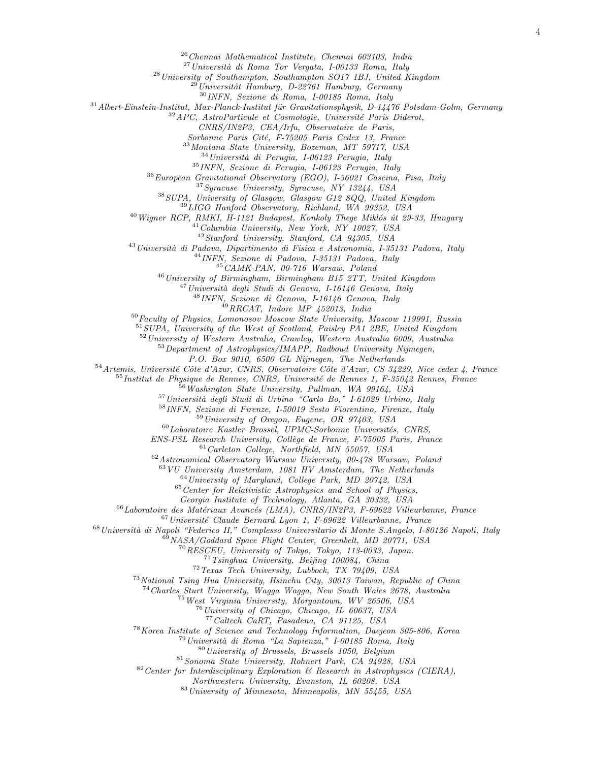Chennai Mathematical Institute, Chennai 603103, India

 $^{27}$ Università di Roma Tor Vergata, I-00133 Roma, Italy

<sup>28</sup> University of Southampton, Southampton SO17 1BJ, United Kingdom

 $^{29}$ Universität Hamburg, D-22761 Hamburg, Germany

INFN, Sezione di Roma, I-00185 Roma, Italy

Albert-Einstein-Institut, Max-Planck-Institut für Gravitationsphysik, D-14476 Potsdam-Golm, Germany

<sup>32</sup> APC, AstroParticule et Cosmologie, Université Paris Diderot,

CNRS/IN2P3, CEA/Irfu, Observatoire de Paris,

Sorbonne Paris Cité, F-75205 Paris Cedex 13, France

Montana State University, Bozeman, MT 59717, USA

Università di Perugia, I-06123 Perugia, Italy

INFN, Sezione di Perugia, I-06123 Perugia, Italy

European Gravitational Observatory (EGO), I-56021 Cascina, Pisa, Italy

Syracuse University, Syracuse, NY 13244, USA

SUPA, University of Glasgow, Glasgow G12 8QQ, United Kingdom

LIGO Hanford Observatory, Richland, WA 99352, USA

 $^{40}$  Wigner RCP, RMKI, H-1121 Budapest, Konkoly Thege Miklós út 29-33, Hungary

Columbia University, New York, NY 10027, USA

Stanford University, Stanford, CA 94305, USA

<sup>43</sup> Università di Padova, Dipartimento di Fisica e Astronomia, I-35131 Padova, Italy

INFN, Sezione di Padova, I-35131 Padova, Italy

CAMK-PAN, 00-716 Warsaw, Poland

 $^{46}$ University of Birmingham, Birmingham B15 2TT, United Kingdom

 $^{47}$ Università degli Studi di Genova, I-16146 Genova, Italy

INFN, Sezione di Genova, I-16146 Genova, Italy

 $^{49}RRCAT$ , Indore MP 452013, India

Faculty of Physics, Lomonosov Moscow State University, Moscow 119991, Russia

SUPA, University of the West of Scotland, Paisley PA1 2BE, United Kingdom

University of Western Australia, Crawley, Western Australia 6009, Australia

<sup>53</sup>Department of Astrophysics/IMAPP, Radboud University Nijmegen,

P.O. Box 9010, 6500 GL Nijmegen, The Netherlands

Artemis, Université Côte d'Azur, CNRS, Observatoire Côte d'Azur, CS 34229, Nice cedex 4, France

Institut de Physique de Rennes, CNRS, Université de Rennes 1, F-35042 Rennes, France

Washington State University, Pullman, WA 99164, USA

 $^{57}$ Università degli Studi di Urbino "Carlo Bo," I-61029 Urbino, Italy

INFN, Sezione di Firenze, I-50019 Sesto Fiorentino, Firenze, Italy

University of Oregon, Eugene, OR 97403, USA

 $^{60}$ Laboratoire Kastler Brossel, UPMC-Sorbonne Universités, CNRS,

ENS-PSL Research University, Collège de France, F-75005 Paris, France

Carleton College, Northfield, MN 55057, USA

Astronomical Observatory Warsaw University, 00-478 Warsaw, Poland

VU University Amsterdam, 1081 HV Amsterdam, The Netherlands

University of Maryland, College Park, MD 20742, USA

Center for Relativistic Astrophysics and School of Physics,

Georgia Institute of Technology, Atlanta, GA 30332, USA

 $^{66}$ Laboratoire des Matériaux Avancés (LMA), CNRS/IN2P3, F-69622 Villeurbanne, France

Université Claude Bernard Lyon 1, F-69622 Villeurbanne, France

<sup>68</sup> Università di Napoli "Federico II," Complesso Universitario di Monte S.Angelo, I-80126 Napoli, Italy

NASA/Goddard Space Flight Center, Greenbelt, MD 20771, USA

RESCEU, University of Tokyo, Tokyo, 113-0033, Japan.

Tsinghua University, Beijing 100084, China

Texas Tech University, Lubbock, TX 79409, USA

National Tsing Hua University, Hsinchu City, 30013 Taiwan, Republic of China

Charles Sturt University, Wagga Wagga, New South Wales 2678, Australia

West Virginia University, Morgantown, WV 26506, USA

University of Chicago, Chicago, IL 60637, USA

Caltech CaRT, Pasadena, CA 91125, USA

Korea Institute of Science and Technology Information, Daejeon 305-806, Korea

Universit`a di Roma "La Sapienza," I-00185 Roma, Italy

University of Brussels, Brussels 1050, Belgium

Sonoma State University, Rohnert Park, CA 94928, USA

Center for Interdisciplinary Exploration & Research in Astrophysics (CIERA),

Northwestern University, Evanston, IL 60208, USA

University of Minnesota, Minneapolis, MN 55455, USA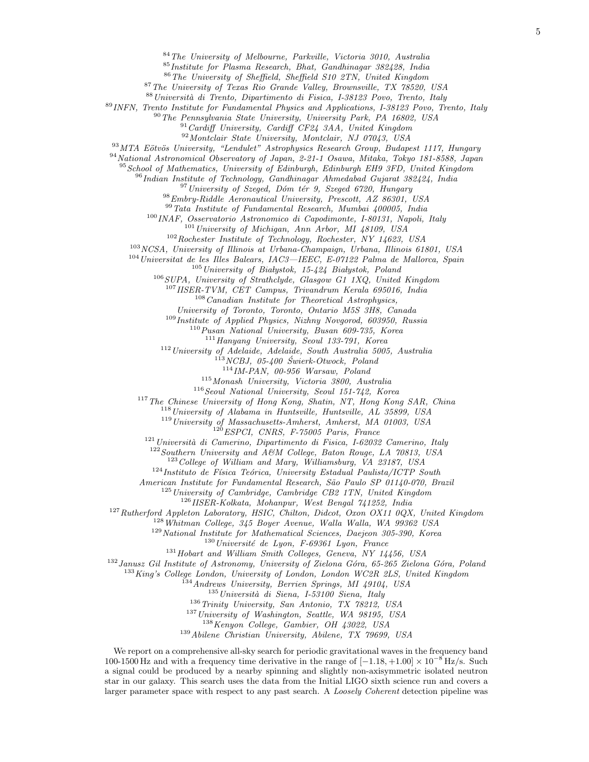<sup>84</sup>The University of Melbourne, Parkville, Victoria 3010, Australia

Institute for Plasma Research, Bhat, Gandhinagar 382428, India

The University of Sheffield, Sheffield S10 2TN, United Kingdom

The University of Texas Rio Grande Valley, Brownsville, TX 78520, USA

Universit`a di Trento, Dipartimento di Fisica, I-38123 Povo, Trento, Italy

INFN, Trento Institute for Fundamental Physics and Applications, I-38123 Povo, Trento, Italy

The Pennsylvania State University, University Park, PA 16802, USA

<sup>91</sup> Cardiff University, Cardiff CF24 3AA, United Kingdom

Montclair State University, Montclair, NJ 07043, USA

<sup>93</sup>MTA Eötvös University, "Lendulet" Astrophysics Research Group, Budapest 1117, Hungary

National Astronomical Observatory of Japan, 2-21-1 Osawa, Mitaka, Tokyo 181-8588, Japan

<sup>95</sup> School of Mathematics, University of Edinburgh, Edinburgh EH9 3FD, United Kingdom

Indian Institute of Technology, Gandhinagar Ahmedabad Gujarat 382424, India

University of Szeged, Dóm tér 9, Szeged 6720, Hungary

Embry-Riddle Aeronautical University, Prescott, AZ 86301, USA

 $^{99}\,Tata$ Institute of Fundamental Research, Mumbai 400005, India

INAF, Osservatorio Astronomico di Capodimonte, I-80131, Napoli, Italy

 $^{101}$ University of Michigan, Ann Arbor, MI 48109, USA

Rochester Institute of Technology, Rochester, NY 14623, USA

NCSA, University of Illinois at Urbana-Champaign, Urbana, Illinois 61801, USA

Universitat de les Illes Balears, IAC3—IEEC, E-07122 Palma de Mallorca, Spain

University of Białystok, 15-424 Białystok, Poland

SUPA, University of Strathclyde, Glasgow G1 1XQ, United Kingdom

IISER-TVM, CET Campus, Trivandrum Kerala 695016, India

Canadian Institute for Theoretical Astrophysics,

University of Toronto, Toronto, Ontario M5S 3H8, Canada

Institute of Applied Physics, Nizhny Novgorod, 603950, Russia

Pusan National University, Busan 609-735, Korea

Hanyang University, Seoul 133-791, Korea

University of Adelaide, Adelaide, South Australia 5005, Australia

NCBJ, 05-400  $\acute{S}wierk-Otwock,$  Poland

IM-PAN, 00-956 Warsaw, Poland

Monash University, Victoria 3800, Australia

Seoul National University, Seoul 151-742, Korea

<sup>117</sup>The Chinese University of Hong Kong, Shatin, NT, Hong Kong SAR, China

<sup>118</sup> University of Alabama in Huntsville, Huntsville, AL 35899, USA

University of Massachusetts-Amherst, Amherst, MA 01003, USA

ESPCI, CNRS, F-75005 Paris, France

Università di Camerino, Dipartimento di Fisica, I-62032 Camerino, Italy

Southern University and A&M College, Baton Rouge, LA 70813, USA

 $123 \text{ College of William and Mary, Williamsburg, VA } 23187, USA$ 

Instituto de Física Teórica, University Estadual Paulista/ICTP South

American Institute for Fundamental Research, São Paulo SP 01140-070, Brazil

University of Cambridge, Cambridge CB2 1TN, United Kingdom

IISER-Kolkata, Mohanpur, West Bengal 741252, India

<sup>127</sup>Rutherford Appleton Laboratory, HSIC, Chilton, Didcot, Oxon OX11 0QX, United Kingdom

Whitman College, 345 Boyer Avenue, Walla Walla, WA 99362 USA

National Institute for Mathematical Sciences, Daejeon 305-390, Korea

Université de Lyon, F-69361 Lyon, France

 $^{131}$  Hobart and William Smith Colleges, Geneva, NY 14456, USA

 $^{132}$  Janusz Gil Institute of Astronomy, University of Zielona Góra, 65-265 Zielona Góra, Poland

<sup>133</sup>King's College London, University of London, London WC2R 2LS, United Kingdom

Andrews University, Berrien Springs, MI 49104, USA

 $^{135}$ Università di Siena, I-53100 Siena, Italy

Trinity University, San Antonio, TX 78212, USA

<sup>137</sup> University of Washington, Seattle, WA 98195, USA

Kenyon College, Gambier, OH 43022, USA

Abilene Christian University, Abilene, TX 79699, USA

We report on a comprehensive all-sky search for periodic gravitational waves in the frequency band 100-1500 Hz and with a frequency time derivative in the range of  $[-1.18, +1.00] \times 10^{-8}$  Hz/s. Such a signal could be produced by a nearby spinning and slightly non-axisymmetric isolated neutron star in our galaxy. This search uses the data from the Initial LIGO sixth science run and covers a larger parameter space with respect to any past search. A Loosely Coherent detection pipeline was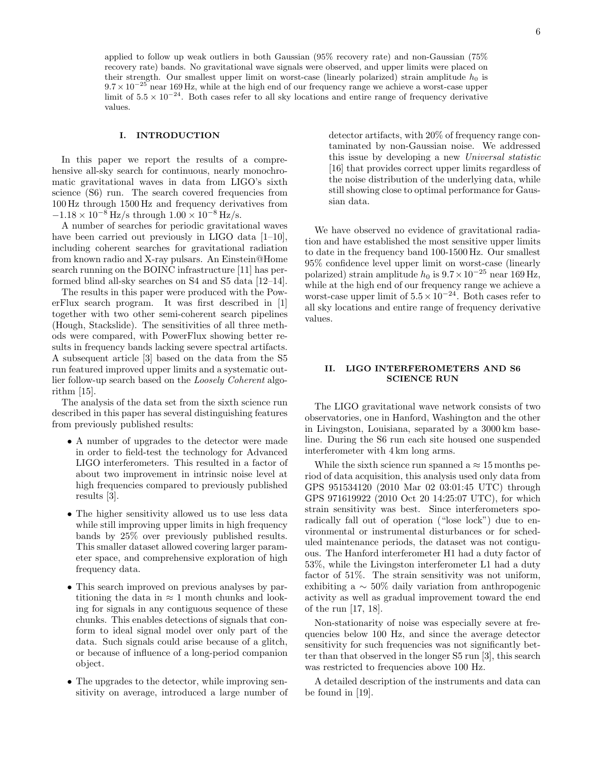#### I. INTRODUCTION

In this paper we report the results of a comprehensive all-sky search for continuous, nearly monochromatic gravitational waves in data from LIGO's sixth science (S6) run. The search covered frequencies from 100 Hz through 1500 Hz and frequency derivatives from  $-1.18 \times 10^{-8}$  Hz/s through  $1.00 \times 10^{-8}$  Hz/s.

A number of searches for periodic gravitational waves have been carried out previously in LIGO data [1–10], including coherent searches for gravitational radiation from known radio and X-ray pulsars. An Einstein@Home search running on the BOINC infrastructure [11] has performed blind all-sky searches on S4 and S5 data [12–14].

The results in this paper were produced with the PowerFlux search program. It was first described in [1] together with two other semi-coherent search pipelines (Hough, Stackslide). The sensitivities of all three methods were compared, with PowerFlux showing better results in frequency bands lacking severe spectral artifacts. A subsequent article [3] based on the data from the S5 run featured improved upper limits and a systematic outlier follow-up search based on the Loosely Coherent algorithm [15].

The analysis of the data set from the sixth science run described in this paper has several distinguishing features from previously published results:

- A number of upgrades to the detector were made in order to field-test the technology for Advanced LIGO interferometers. This resulted in a factor of about two improvement in intrinsic noise level at high frequencies compared to previously published results [3].
- The higher sensitivity allowed us to use less data while still improving upper limits in high frequency bands by 25% over previously published results. This smaller dataset allowed covering larger parameter space, and comprehensive exploration of high frequency data.
- This search improved on previous analyses by partitioning the data in  $\approx 1$  month chunks and looking for signals in any contiguous sequence of these chunks. This enables detections of signals that conform to ideal signal model over only part of the data. Such signals could arise because of a glitch, or because of influence of a long-period companion object.
- The upgrades to the detector, while improving sensitivity on average, introduced a large number of

detector artifacts, with 20% of frequency range contaminated by non-Gaussian noise. We addressed this issue by developing a new Universal statistic [16] that provides correct upper limits regardless of the noise distribution of the underlying data, while still showing close to optimal performance for Gaussian data.

We have observed no evidence of gravitational radiation and have established the most sensitive upper limits to date in the frequency band 100-1500 Hz. Our smallest 95% confidence level upper limit on worst-case (linearly polarized) strain amplitude  $h_0$  is  $9.7 \times 10^{-25}$  near 169 Hz, while at the high end of our frequency range we achieve a worst-case upper limit of  $5.5 \times 10^{-24}$ . Both cases refer to all sky locations and entire range of frequency derivative values.

#### II. LIGO INTERFEROMETERS AND S6 SCIENCE RUN

The LIGO gravitational wave network consists of two observatories, one in Hanford, Washington and the other in Livingston, Louisiana, separated by a 3000 km baseline. During the S6 run each site housed one suspended interferometer with 4 km long arms.

While the sixth science run spanned a  $\approx 15$  months period of data acquisition, this analysis used only data from GPS 951534120 (2010 Mar 02 03:01:45 UTC) through GPS 971619922 (2010 Oct 20 14:25:07 UTC), for which strain sensitivity was best. Since interferometers sporadically fall out of operation ("lose lock") due to environmental or instrumental disturbances or for scheduled maintenance periods, the dataset was not contiguous. The Hanford interferometer H1 had a duty factor of 53%, while the Livingston interferometer L1 had a duty factor of 51%. The strain sensitivity was not uniform, exhibiting a ∼ 50% daily variation from anthropogenic activity as well as gradual improvement toward the end of the run [17, 18].

Non-stationarity of noise was especially severe at frequencies below 100 Hz, and since the average detector sensitivity for such frequencies was not significantly better than that observed in the longer S5 run [3], this search was restricted to frequencies above 100 Hz.

A detailed description of the instruments and data can be found in [19].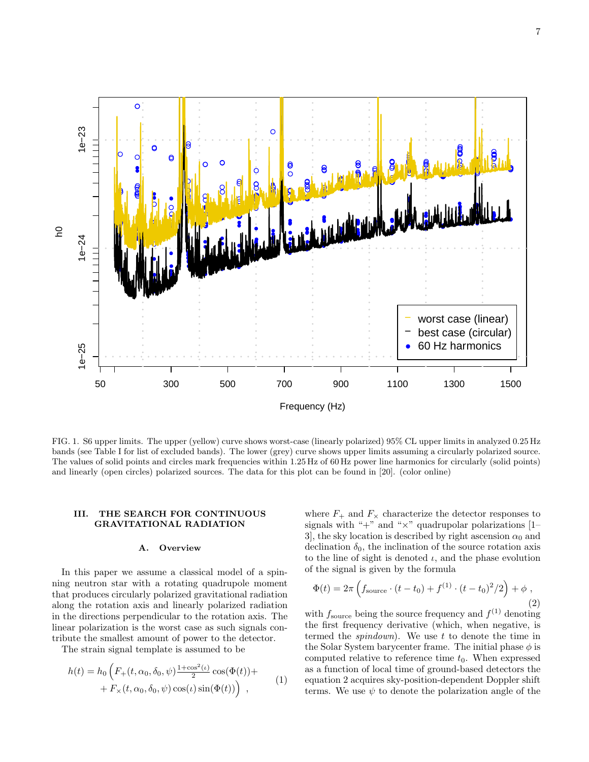

FIG. 1. S6 upper limits. The upper (yellow) curve shows worst-case (linearly polarized) 95% CL upper limits in analyzed 0.25 Hz bands (see Table I for list of excluded bands). The lower (grey) curve shows upper limits assuming a circularly polarized source. The values of solid points and circles mark frequencies within 1.25 Hz of 60 Hz power line harmonics for circularly (solid points) and linearly (open circles) polarized sources. The data for this plot can be found in [20]. (color online)

#### III. THE SEARCH FOR CONTINUOUS GRAVITATIONAL RADIATION

#### A. Overview

In this paper we assume a classical model of a spinning neutron star with a rotating quadrupole moment that produces circularly polarized gravitational radiation along the rotation axis and linearly polarized radiation in the directions perpendicular to the rotation axis. The linear polarization is the worst case as such signals contribute the smallest amount of power to the detector.

The strain signal template is assumed to be

$$
h(t) = h_0 \left( F_+(t, \alpha_0, \delta_0, \psi) \frac{1 + \cos^2(\iota)}{2} \cos(\Phi(t)) + F_\times(t, \alpha_0, \delta_0, \psi) \cos(\iota) \sin(\Phi(t)) \right) ,
$$
 (1)

where  $F_+$  and  $F_\times$  characterize the detector responses to signals with " $+$ " and " $\times$ " quadrupolar polarizations [1– 3, the sky location is described by right ascension  $\alpha_0$  and declination  $\delta_0$ , the inclination of the source rotation axis to the line of sight is denoted  $\iota$ , and the phase evolution of the signal is given by the formula

$$
\Phi(t) = 2\pi \left( f_{\text{source}} \cdot (t - t_0) + f^{(1)} \cdot (t - t_0)^2 / 2 \right) + \phi , \qquad (2)
$$

with  $f_{\text{source}}$  being the source frequency and  $f^{(1)}$  denoting the first frequency derivative (which, when negative, is termed the *spindown*). We use  $t$  to denote the time in the Solar System barycenter frame. The initial phase  $\phi$  is computed relative to reference time  $t_0$ . When expressed as a function of local time of ground-based detectors the equation 2 acquires sky-position-dependent Doppler shift terms. We use  $\psi$  to denote the polarization angle of the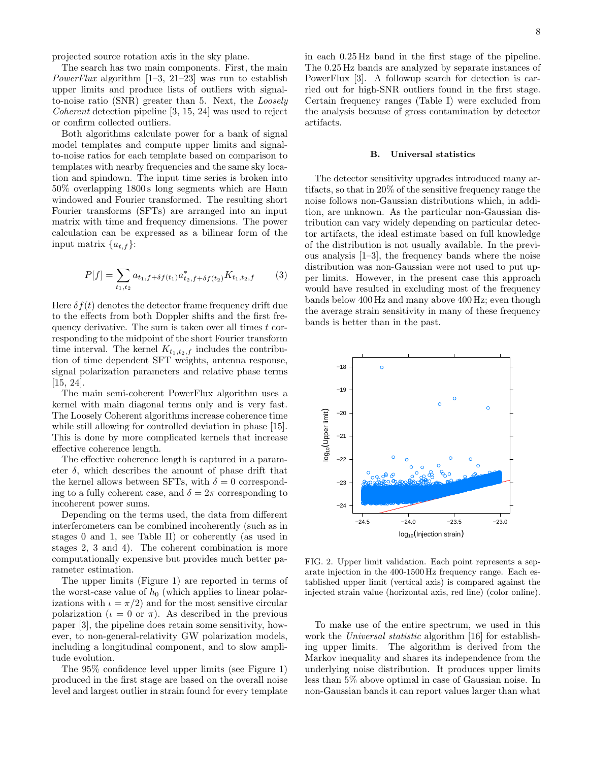projected source rotation axis in the sky plane.

The search has two main components. First, the main *PowerFlux* algorithm  $[1-3, 21-23]$  was run to establish upper limits and produce lists of outliers with signalto-noise ratio (SNR) greater than 5. Next, the Loosely Coherent detection pipeline [3, 15, 24] was used to reject or confirm collected outliers.

Both algorithms calculate power for a bank of signal model templates and compute upper limits and signalto-noise ratios for each template based on comparison to templates with nearby frequencies and the same sky location and spindown. The input time series is broken into 50% overlapping 1800 s long segments which are Hann windowed and Fourier transformed. The resulting short Fourier transforms (SFTs) are arranged into an input matrix with time and frequency dimensions. The power calculation can be expressed as a bilinear form of the input matrix  $\{a_{t,f}\}\$ :

$$
P[f] = \sum_{t_1, t_2} a_{t_1, f + \delta f(t_1)} a_{t_2, f + \delta f(t_2)}^* K_{t_1, t_2, f} \tag{3}
$$

Here  $\delta f(t)$  denotes the detector frame frequency drift due to the effects from both Doppler shifts and the first frequency derivative. The sum is taken over all times  $t$  corresponding to the midpoint of the short Fourier transform time interval. The kernel  $K_{t_1,t_2,f}$  includes the contribution of time dependent SFT weights, antenna response, signal polarization parameters and relative phase terms [15, 24].

The main semi-coherent PowerFlux algorithm uses a kernel with main diagonal terms only and is very fast. The Loosely Coherent algorithms increase coherence time while still allowing for controlled deviation in phase [15]. This is done by more complicated kernels that increase effective coherence length.

The effective coherence length is captured in a parameter  $\delta$ , which describes the amount of phase drift that the kernel allows between SFTs, with  $\delta = 0$  corresponding to a fully coherent case, and  $\delta = 2\pi$  corresponding to incoherent power sums.

Depending on the terms used, the data from different interferometers can be combined incoherently (such as in stages 0 and 1, see Table II) or coherently (as used in stages 2, 3 and 4). The coherent combination is more computationally expensive but provides much better parameter estimation.

The upper limits (Figure 1) are reported in terms of the worst-case value of  $h_0$  (which applies to linear polarizations with  $\iota = \pi/2$  and for the most sensitive circular polarization ( $\iota = 0$  or  $\pi$ ). As described in the previous paper [3], the pipeline does retain some sensitivity, however, to non-general-relativity GW polarization models, including a longitudinal component, and to slow amplitude evolution.

The 95% confidence level upper limits (see Figure 1) produced in the first stage are based on the overall noise level and largest outlier in strain found for every template in each 0.25 Hz band in the first stage of the pipeline. The 0.25 Hz bands are analyzed by separate instances of PowerFlux [3]. A followup search for detection is carried out for high-SNR outliers found in the first stage. Certain frequency ranges (Table I) were excluded from the analysis because of gross contamination by detector artifacts.

#### B. Universal statistics

The detector sensitivity upgrades introduced many artifacts, so that in 20% of the sensitive frequency range the noise follows non-Gaussian distributions which, in addition, are unknown. As the particular non-Gaussian distribution can vary widely depending on particular detector artifacts, the ideal estimate based on full knowledge of the distribution is not usually available. In the previous analysis [1–3], the frequency bands where the noise distribution was non-Gaussian were not used to put upper limits. However, in the present case this approach would have resulted in excluding most of the frequency bands below 400 Hz and many above 400 Hz; even though the average strain sensitivity in many of these frequency bands is better than in the past.



FIG. 2. Upper limit validation. Each point represents a separate injection in the 400-1500 Hz frequency range. Each established upper limit (vertical axis) is compared against the injected strain value (horizontal axis, red line) (color online).

To make use of the entire spectrum, we used in this work the Universal statistic algorithm [16] for establishing upper limits. The algorithm is derived from the Markov inequality and shares its independence from the underlying noise distribution. It produces upper limits less than 5% above optimal in case of Gaussian noise. In non-Gaussian bands it can report values larger than what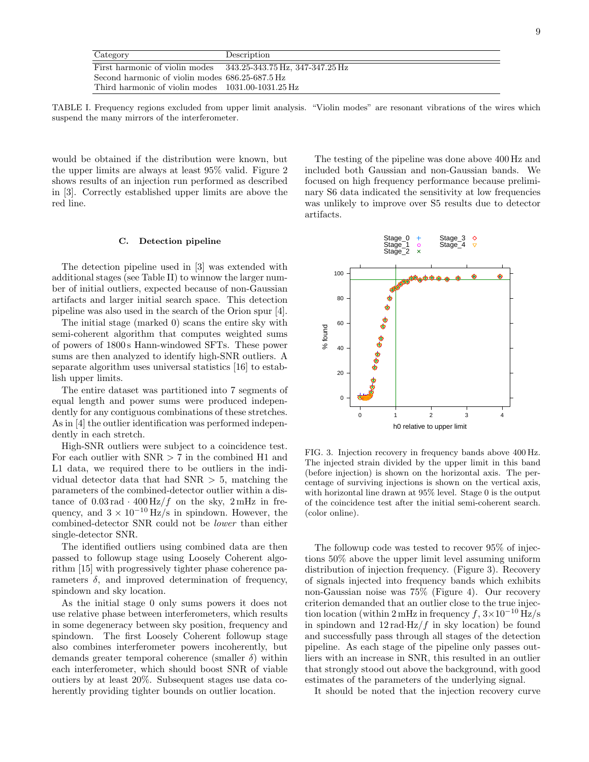| Category                                                           | Description |
|--------------------------------------------------------------------|-------------|
| First harmonic of violin modes $343.25-343.75$ Hz, $347-347.25$ Hz |             |
| Second harmonic of violin modes 686.25-687.5 Hz                    |             |
| Third harmonic of violin modes 1031.00-1031.25 Hz                  |             |

TABLE I. Frequency regions excluded from upper limit analysis. "Violin modes" are resonant vibrations of the wires which suspend the many mirrors of the interferometer.

would be obtained if the distribution were known, but the upper limits are always at least 95% valid. Figure 2 shows results of an injection run performed as described in [3]. Correctly established upper limits are above the red line.

#### C. Detection pipeline

The detection pipeline used in [3] was extended with additional stages (see Table II) to winnow the larger number of initial outliers, expected because of non-Gaussian artifacts and larger initial search space. This detection pipeline was also used in the search of the Orion spur [4].

The initial stage (marked 0) scans the entire sky with semi-coherent algorithm that computes weighted sums of powers of 1800 s Hann-windowed SFTs. These power sums are then analyzed to identify high-SNR outliers. A separate algorithm uses universal statistics [16] to establish upper limits.

The entire dataset was partitioned into 7 segments of equal length and power sums were produced independently for any contiguous combinations of these stretches. As in [4] the outlier identification was performed independently in each stretch.

High-SNR outliers were subject to a coincidence test. For each outlier with  $SNR > 7$  in the combined H1 and L1 data, we required there to be outliers in the individual detector data that had  $SNR > 5$ , matching the parameters of the combined-detector outlier within a distance of  $0.03 \text{ rad} \cdot 400 \text{ Hz}/f$  on the sky,  $2 \text{ mHz}$  in frequency, and  $3 \times 10^{-10}$  Hz/s in spindown. However, the combined-detector SNR could not be lower than either single-detector SNR.

The identified outliers using combined data are then passed to followup stage using Loosely Coherent algorithm [15] with progressively tighter phase coherence parameters  $\delta$ , and improved determination of frequency, spindown and sky location.

As the initial stage 0 only sums powers it does not use relative phase between interferometers, which results in some degeneracy between sky position, frequency and spindown. The first Loosely Coherent followup stage also combines interferometer powers incoherently, but demands greater temporal coherence (smaller  $\delta$ ) within each interferometer, which should boost SNR of viable outiers by at least 20%. Subsequent stages use data coherently providing tighter bounds on outlier location.

The testing of the pipeline was done above 400 Hz and included both Gaussian and non-Gaussian bands. We focused on high frequency performance because preliminary S6 data indicated the sensitivity at low frequencies was unlikely to improve over S5 results due to detector artifacts.



FIG. 3. Injection recovery in frequency bands above 400 Hz. The injected strain divided by the upper limit in this band (before injection) is shown on the horizontal axis. The percentage of surviving injections is shown on the vertical axis, with horizontal line drawn at 95% level. Stage 0 is the output of the coincidence test after the initial semi-coherent search. (color online).

The followup code was tested to recover 95% of injections 50% above the upper limit level assuming uniform distribution of injection frequency. (Figure 3). Recovery of signals injected into frequency bands which exhibits non-Gaussian noise was 75% (Figure 4). Our recovery criterion demanded that an outlier close to the true injection location (within 2 mHz in frequency f,  $3\times10^{-10}$  Hz/s in spindown and  $12 \text{ rad·Hz}/f$  in sky location) be found and successfully pass through all stages of the detection pipeline. As each stage of the pipeline only passes outliers with an increase in SNR, this resulted in an outlier that strongly stood out above the background, with good estimates of the parameters of the underlying signal.

It should be noted that the injection recovery curve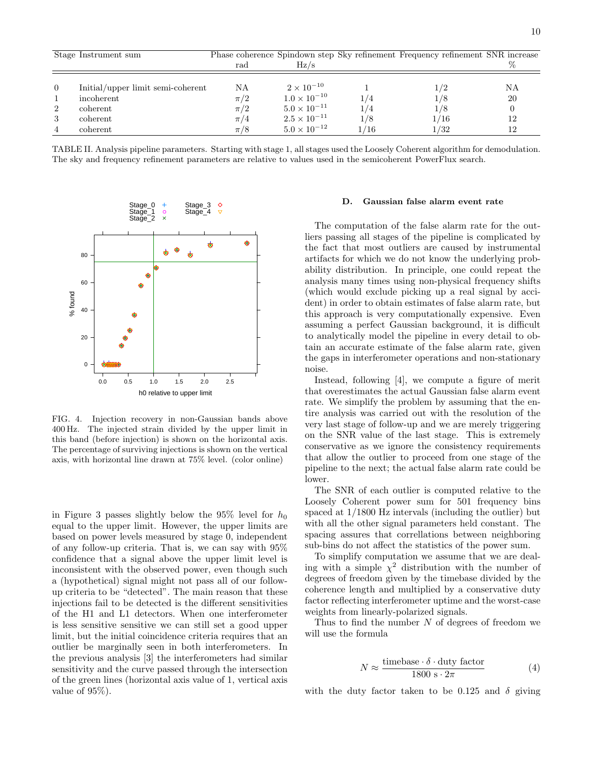|                | Stage Instrument sum              |         |                       |      | Phase coherence Spindown step Sky refinement Frequency refinement SNR increase |    |
|----------------|-----------------------------------|---------|-----------------------|------|--------------------------------------------------------------------------------|----|
|                |                                   | rad     | Hz/s                  |      |                                                                                |    |
|                |                                   |         |                       |      |                                                                                |    |
| $\overline{0}$ | Initial/upper limit semi-coherent | ΝA      | $2 \times 10^{-10}$   |      | 1/2                                                                            | ΝA |
|                | incoherent                        | $\pi/2$ | $1.0 \times 10^{-10}$ | /4   | 1/8                                                                            | 20 |
| 2              | coherent                          | $\pi/2$ | $5.0 \times 10^{-11}$ | 1/4  | 1/8                                                                            |    |
| 3              | coherent                          | $\pi/4$ | $2.5 \times 10^{-11}$ | 1/8  | 1/16                                                                           | 12 |
| $\overline{4}$ | coherent                          | $\pi/8$ | $5.0 \times 10^{-12}$ | 1/16 | 1/32                                                                           | 12 |

TABLE II. Analysis pipeline parameters. Starting with stage 1, all stages used the Loosely Coherent algorithm for demodulation. The sky and frequency refinement parameters are relative to values used in the semicoherent PowerFlux search.



FIG. 4. Injection recovery in non-Gaussian bands above 400 Hz. The injected strain divided by the upper limit in this band (before injection) is shown on the horizontal axis. The percentage of surviving injections is shown on the vertical axis, with horizontal line drawn at 75% level. (color online)

in Figure 3 passes slightly below the 95% level for  $h_0$ equal to the upper limit. However, the upper limits are based on power levels measured by stage 0, independent of any follow-up criteria. That is, we can say with 95% confidence that a signal above the upper limit level is inconsistent with the observed power, even though such a (hypothetical) signal might not pass all of our followup criteria to be "detected". The main reason that these injections fail to be detected is the different sensitivities of the H1 and L1 detectors. When one interferometer is less sensitive sensitive we can still set a good upper limit, but the initial coincidence criteria requires that an outlier be marginally seen in both interferometers. In the previous analysis [3] the interferometers had similar sensitivity and the curve passed through the intersection of the green lines (horizontal axis value of 1, vertical axis value of 95%).

#### D. Gaussian false alarm event rate

The computation of the false alarm rate for the outliers passing all stages of the pipeline is complicated by the fact that most outliers are caused by instrumental artifacts for which we do not know the underlying probability distribution. In principle, one could repeat the analysis many times using non-physical frequency shifts (which would exclude picking up a real signal by accident) in order to obtain estimates of false alarm rate, but this approach is very computationally expensive. Even assuming a perfect Gaussian background, it is difficult to analytically model the pipeline in every detail to obtain an accurate estimate of the false alarm rate, given the gaps in interferometer operations and non-stationary noise.

Instead, following [4], we compute a figure of merit that overestimates the actual Gaussian false alarm event rate. We simplify the problem by assuming that the entire analysis was carried out with the resolution of the very last stage of follow-up and we are merely triggering on the SNR value of the last stage. This is extremely conservative as we ignore the consistency requirements that allow the outlier to proceed from one stage of the pipeline to the next; the actual false alarm rate could be lower.

The SNR of each outlier is computed relative to the Loosely Coherent power sum for 501 frequency bins spaced at 1/1800 Hz intervals (including the outlier) but with all the other signal parameters held constant. The spacing assures that correllations between neighboring sub-bins do not affect the statistics of the power sum.

To simplify computation we assume that we are dealing with a simple  $\chi^2$  distribution with the number of degrees of freedom given by the timebase divided by the coherence length and multiplied by a conservative duty factor reflecting interferometer uptime and the worst-case weights from linearly-polarized signals.

Thus to find the number  $N$  of degrees of freedom we will use the formula

$$
N \approx \frac{\text{timebase} \cdot \delta \cdot \text{duty factor}}{1800 \text{ s} \cdot 2\pi} \tag{4}
$$

with the duty factor taken to be 0.125 and  $\delta$  giving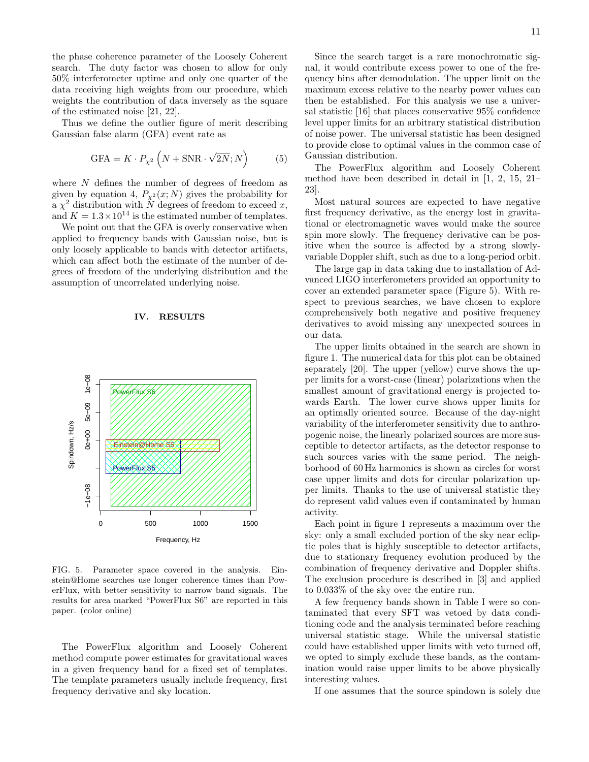the phase coherence parameter of the Loosely Coherent search. The duty factor was chosen to allow for only 50% interferometer uptime and only one quarter of the data receiving high weights from our procedure, which weights the contribution of data inversely as the square of the estimated noise [21, 22].

Thus we define the outlier figure of merit describing Gaussian false alarm (GFA) event rate as

$$
GFA = K \cdot P_{\chi^2} \left( N + \text{SNR} \cdot \sqrt{2N}; N \right) \tag{5}
$$

where N defines the number of degrees of freedom as given by equation 4,  $P_{\chi^2}(x; N)$  gives the probability for a  $\chi^2$  distribution with N degrees of freedom to exceed x, and  $K = 1.3 \times 10^{14}$  is the estimated number of templates.

We point out that the GFA is overly conservative when applied to frequency bands with Gaussian noise, but is only loosely applicable to bands with detector artifacts, which can affect both the estimate of the number of degrees of freedom of the underlying distribution and the assumption of uncorrelated underlying noise.



IV. RESULTS

FIG. 5. Parameter space covered in the analysis. Einstein@Home searches use longer coherence times than PowerFlux, with better sensitivity to narrow band signals. The results for area marked "PowerFlux S6" are reported in this paper. (color online)

The PowerFlux algorithm and Loosely Coherent method compute power estimates for gravitational waves in a given frequency band for a fixed set of templates. The template parameters usually include frequency, first frequency derivative and sky location.

Since the search target is a rare monochromatic signal, it would contribute excess power to one of the frequency bins after demodulation. The upper limit on the maximum excess relative to the nearby power values can then be established. For this analysis we use a universal statistic [16] that places conservative 95% confidence level upper limits for an arbitrary statistical distribution of noise power. The universal statistic has been designed to provide close to optimal values in the common case of Gaussian distribution.

The PowerFlux algorithm and Loosely Coherent method have been described in detail in [1, 2, 15, 21– 23].

Most natural sources are expected to have negative first frequency derivative, as the energy lost in gravitational or electromagnetic waves would make the source spin more slowly. The frequency derivative can be positive when the source is affected by a strong slowlyvariable Doppler shift, such as due to a long-period orbit.

The large gap in data taking due to installation of Advanced LIGO interferometers provided an opportunity to cover an extended parameter space (Figure 5). With respect to previous searches, we have chosen to explore comprehensively both negative and positive frequency derivatives to avoid missing any unexpected sources in our data.

The upper limits obtained in the search are shown in figure 1. The numerical data for this plot can be obtained separately [20]. The upper (yellow) curve shows the upper limits for a worst-case (linear) polarizations when the smallest amount of gravitational energy is projected towards Earth. The lower curve shows upper limits for an optimally oriented source. Because of the day-night variability of the interferometer sensitivity due to anthropogenic noise, the linearly polarized sources are more susceptible to detector artifacts, as the detector response to such sources varies with the same period. The neighborhood of 60 Hz harmonics is shown as circles for worst case upper limits and dots for circular polarization upper limits. Thanks to the use of universal statistic they do represent valid values even if contaminated by human activity.

Each point in figure 1 represents a maximum over the sky: only a small excluded portion of the sky near ecliptic poles that is highly susceptible to detector artifacts, due to stationary frequency evolution produced by the combination of frequency derivative and Doppler shifts. The exclusion procedure is described in [3] and applied to 0.033% of the sky over the entire run.

A few frequency bands shown in Table I were so contaminated that every SFT was vetoed by data conditioning code and the analysis terminated before reaching universal statistic stage. While the universal statistic could have established upper limits with veto turned off, we opted to simply exclude these bands, as the contamination would raise upper limits to be above physically interesting values.

If one assumes that the source spindown is solely due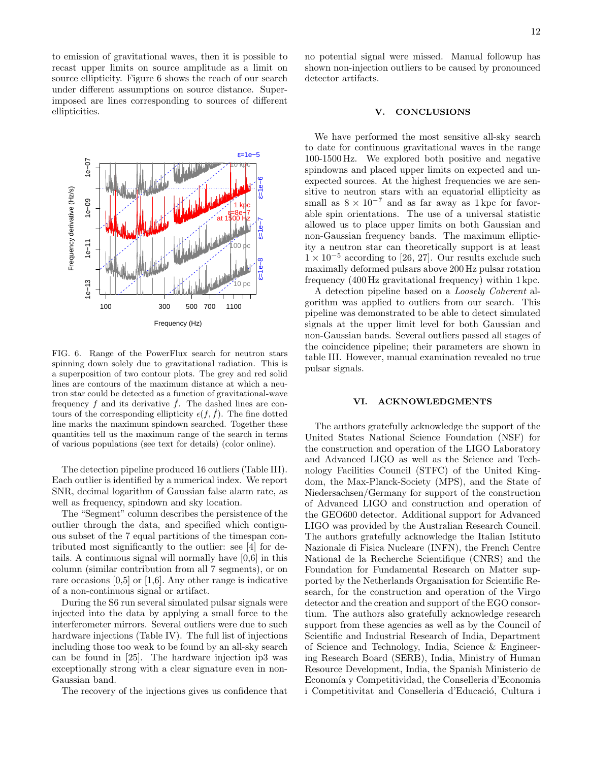to emission of gravitational waves, then it is possible to recast upper limits on source amplitude as a limit on source ellipticity. Figure 6 shows the reach of our search under different assumptions on source distance. Superimposed are lines corresponding to sources of different ellipticities.



FIG. 6. Range of the PowerFlux search for neutron stars spinning down solely due to gravitational radiation. This is a superposition of two contour plots. The grey and red solid lines are contours of the maximum distance at which a neutron star could be detected as a function of gravitational-wave frequency  $f$  and its derivative  $f$ . The dashed lines are contours of the corresponding ellipticity  $\epsilon(f, f)$ . The fine dotted line marks the maximum spindown searched. Together these quantities tell us the maximum range of the search in terms of various populations (see text for details) (color online).

The detection pipeline produced 16 outliers (Table III). Each outlier is identified by a numerical index. We report SNR, decimal logarithm of Gaussian false alarm rate, as well as frequency, spindown and sky location.

The "Segment" column describes the persistence of the outlier through the data, and specified which contiguous subset of the 7 equal partitions of the timespan contributed most significantly to the outlier: see [4] for details. A continuous signal will normally have [0,6] in this column (similar contribution from all 7 segments), or on rare occasions  $[0,5]$  or  $[1,6]$ . Any other range is indicative of a non-continuous signal or artifact.

During the S6 run several simulated pulsar signals were injected into the data by applying a small force to the interferometer mirrors. Several outliers were due to such hardware injections (Table IV). The full list of injections including those too weak to be found by an all-sky search can be found in [25]. The hardware injection ip3 was exceptionally strong with a clear signature even in non-Gaussian band.

The recovery of the injections gives us confidence that

no potential signal were missed. Manual followup has shown non-injection outliers to be caused by pronounced detector artifacts.

#### **CONCLUSIONS**

We have performed the most sensitive all-sky search to date for continuous gravitational waves in the range 100-1500 Hz. We explored both positive and negative spindowns and placed upper limits on expected and unexpected sources. At the highest frequencies we are sensitive to neutron stars with an equatorial ellipticity as small as  $8 \times 10^{-7}$  and as far away as 1 kpc for favorable spin orientations. The use of a universal statistic allowed us to place upper limits on both Gaussian and non-Gaussian frequency bands. The maximum ellipticity a neutron star can theoretically support is at least  $1 \times 10^{-5}$  according to [26, 27]. Our results exclude such maximally deformed pulsars above 200 Hz pulsar rotation frequency (400 Hz gravitational frequency) within 1 kpc.

A detection pipeline based on a Loosely Coherent algorithm was applied to outliers from our search. This pipeline was demonstrated to be able to detect simulated signals at the upper limit level for both Gaussian and non-Gaussian bands. Several outliers passed all stages of the coincidence pipeline; their parameters are shown in table III. However, manual examination revealed no true pulsar signals.

#### VI. ACKNOWLEDGMENTS

The authors gratefully acknowledge the support of the United States National Science Foundation (NSF) for the construction and operation of the LIGO Laboratory and Advanced LIGO as well as the Science and Technology Facilities Council (STFC) of the United Kingdom, the Max-Planck-Society (MPS), and the State of Niedersachsen/Germany for support of the construction of Advanced LIGO and construction and operation of the GEO600 detector. Additional support for Advanced LIGO was provided by the Australian Research Council. The authors gratefully acknowledge the Italian Istituto Nazionale di Fisica Nucleare (INFN), the French Centre National de la Recherche Scientifique (CNRS) and the Foundation for Fundamental Research on Matter supported by the Netherlands Organisation for Scientific Research, for the construction and operation of the Virgo detector and the creation and support of the EGO consortium. The authors also gratefully acknowledge research support from these agencies as well as by the Council of Scientific and Industrial Research of India, Department of Science and Technology, India, Science & Engineering Research Board (SERB), India, Ministry of Human Resource Development, India, the Spanish Ministerio de Economía y Competitividad, the Conselleria d'Economia i Competitivitat and Conselleria d'Educació, Cultura i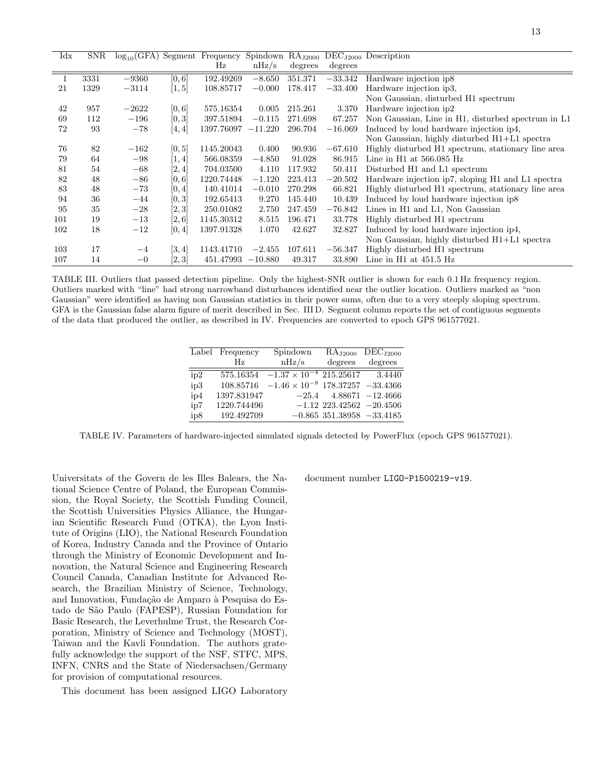| $\rm{Idx}$ | SNR  |         |        |            |           |         |              | $log_{10}$ (GFA) Segment Frequency Spindown RA <sub>J2000</sub> DEC <sub>J2000</sub> Description |
|------------|------|---------|--------|------------|-----------|---------|--------------|--------------------------------------------------------------------------------------------------|
|            |      |         |        | Hz         | nHz/s     | degrees | degrees      |                                                                                                  |
|            | 3331 | $-9360$ | [0, 6] | 192.49269  | $-8.650$  | 351.371 | $-33.342$    | Hardware injection ip8                                                                           |
| 21         | 1329 | $-3114$ | [1, 5] | 108.85717  | $-0.000$  | 178.417 | $-33.400$    | Hardware injection ip3.                                                                          |
|            |      |         |        |            |           |         |              | Non Gaussian, disturbed H1 spectrum                                                              |
| 42         | 957  | $-2622$ | [0, 6] | 575.16354  | 0.005     | 215.261 | 3.370        | Hardware injection ip2                                                                           |
| 69         | 112  | $-196$  | [0,3]  | 397.51894  | $-0.115$  | 271.698 | 67.257       | Non Gaussian, Line in H1, disturbed spectrum in L1                                               |
| 72         | 93   | $-78$   | [4,4]  | 1397.76097 | $-11.220$ | 296.704 | $-16.069$    | Induced by loud hardware injection ip4,                                                          |
|            |      |         |        |            |           |         |              | Non Gaussian, highly disturbed H1+L1 spectra                                                     |
| 76         | 82   | $-162$  | [0, 5] | 1145.20043 | 0.400     | 90.936  | $-67.610$    | Highly disturbed H1 spectrum, stationary line area                                               |
| 79         | 64   | $-98$   | [1,4]  | 566.08359  | $-4.850$  | 91.028  | 86.915       | Line in $H1$ at $566.085$ $Hz$                                                                   |
| 81         | 54   | $-68$   | [2,4]  | 704.03500  | 4.110     | 117.932 | 50.411       | Disturbed H1 and L1 spectrum                                                                     |
| 82         | 48   | $-86$   | [0, 6] | 1220.74448 | $-1.120$  | 223.413 | $^{-20.502}$ | Hardware injection ip7, sloping H1 and L1 spectra                                                |
| 83         | 48   | $-73$   | [0,4]  | 140.41014  | $-0.010$  | 270.298 | 66.821       | Highly disturbed H1 spectrum, stationary line area                                               |
| 94         | 36   | $-44$   | [0,3]  | 192.65413  | 9.270     | 145.440 | 10.439       | Induced by loud hardware injection ip8                                                           |
| 95         | 35   | $-28$   | [2, 3] | 250.01082  | 2.750     | 247.459 | $-76.842$    | Lines in H1 and L1, Non Gaussian                                                                 |
| 101        | 19   | $-13$   | [2, 6] | 1145.30312 | 8.515     | 196.471 | 33.778       | Highly disturbed H1 spectrum                                                                     |
| 102        | 18   | $-12$   | [0, 4] | 1397.91328 | 1.070     | 42.627  | 32.827       | Induced by loud hardware injection ip4,                                                          |
|            |      |         |        |            |           |         |              | Non Gaussian, highly disturbed H1+L1 spectra                                                     |
| 103        | 17   | $-4$    | [3, 4] | 1143.41710 | $-2.455$  | 107.611 | $-56.347$    | Highly disturbed H1 spectrum                                                                     |
| 107        | 14   | $-0$    | [2, 3] | 451.47993  | $-10.880$ | 49.317  | 33.890       | Line in $H1$ at $451.5$ $Hz$                                                                     |

TABLE III. Outliers that passed detection pipeline. Only the highest-SNR outlier is shown for each 0.1 Hz frequency region. Outliers marked with "line" had strong narrowband disturbances identified near the outlier location. Outliers marked as "non Gaussian" were identified as having non Gaussian statistics in their power sums, often due to a very steeply sloping spectrum. GFA is the Gaussian false alarm figure of merit described in Sec. III D. Segment column reports the set of contiguous segments of the data that produced the outlier, as described in IV. Frequencies are converted to epoch GPS 961577021.

|     | Label Frequency | Spindown                                    | RA <sub>J2000</sub>           | DEC <sub>J2000</sub> |
|-----|-----------------|---------------------------------------------|-------------------------------|----------------------|
|     | Hz              | nHz/s                                       | degrees                       | degrees              |
| ip2 | 575.16354       | $-1.37 \times 10^{-4}$ 215.25617            |                               | 3.4440               |
| ip3 | 108.85716       | $-1.46 \times 10^{-8}$ 178.37257 $-33.4366$ |                               |                      |
| ip4 | 1397.831947     |                                             | $-25.4$ 4.88671 $-12.4666$    |                      |
| ip7 | 1220.744496     |                                             | $-1.12$ 223.42562 $-20.4506$  |                      |
| ip8 | 192.492709      |                                             | $-0.865$ 351.38958 $-33.4185$ |                      |

TABLE IV. Parameters of hardware-injected simulated signals detected by PowerFlux (epoch GPS 961577021).

Universitats of the Govern de les Illes Balears, the National Science Centre of Poland, the European Commission, the Royal Society, the Scottish Funding Council, the Scottish Universities Physics Alliance, the Hungarian Scientific Research Fund (OTKA), the Lyon Institute of Origins (LIO), the National Research Foundation of Korea, Industry Canada and the Province of Ontario through the Ministry of Economic Development and Innovation, the Natural Science and Engineering Research Council Canada, Canadian Institute for Advanced Research, the Brazilian Ministry of Science, Technology, and Innovation, Fundação de Amparo à Pesquisa do Estado de S˜ao Paulo (FAPESP), Russian Foundation for Basic Research, the Leverhulme Trust, the Research Corporation, Ministry of Science and Technology (MOST), Taiwan and the Kavli Foundation. The authors gratefully acknowledge the support of the NSF, STFC, MPS, INFN, CNRS and the State of Niedersachsen/Germany for provision of computational resources.

This document has been assigned LIGO Laboratory

document number LIGO-P1500219-v19.